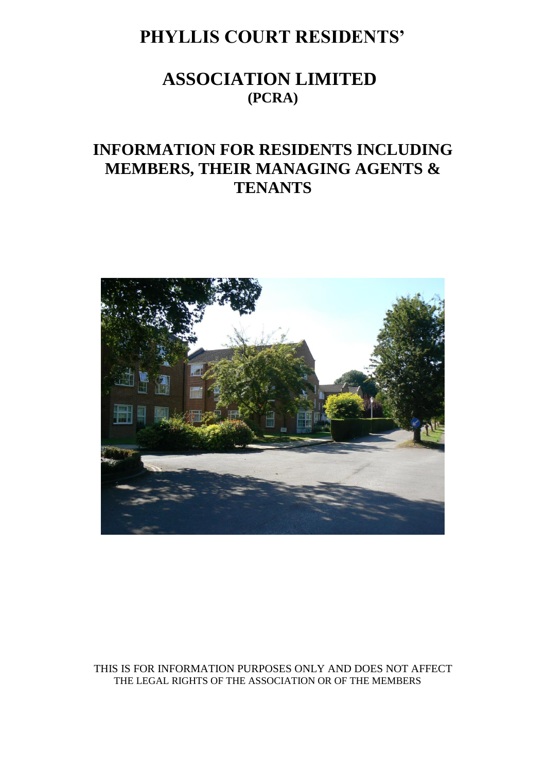# **PHYLLIS COURT RESIDENTS'**

# **ASSOCIATION LIMITED (PCRA)**

# **INFORMATION FOR RESIDENTS INCLUDING MEMBERS, THEIR MANAGING AGENTS & TENANTS**



THIS IS FOR INFORMATION PURPOSES ONLY AND DOES NOT AFFECT THE LEGAL RIGHTS OF THE ASSOCIATION OR OF THE MEMBERS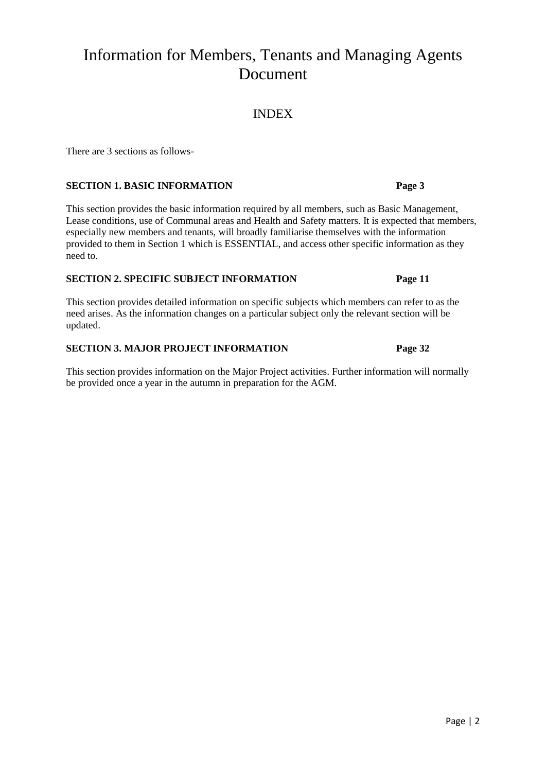# Information for Members, Tenants and Managing Agents Document

## INDEX

There are 3 sections as follows-

### **SECTION 1. BASIC INFORMATION Page 3**

This section provides the basic information required by all members, such as Basic Management, Lease conditions, use of Communal areas and Health and Safety matters. It is expected that members, especially new members and tenants, will broadly familiarise themselves with the information provided to them in Section 1 which is ESSENTIAL, and access other specific information as they need to.

#### **SECTION 2. SPECIFIC SUBJECT INFORMATION Page 11**

This section provides detailed information on specific subjects which members can refer to as the need arises. As the information changes on a particular subject only the relevant section will be updated.

### **SECTION 3. MAJOR PROJECT INFORMATION Page 32**

This section provides information on the Major Project activities. Further information will normally be provided once a year in the autumn in preparation for the AGM.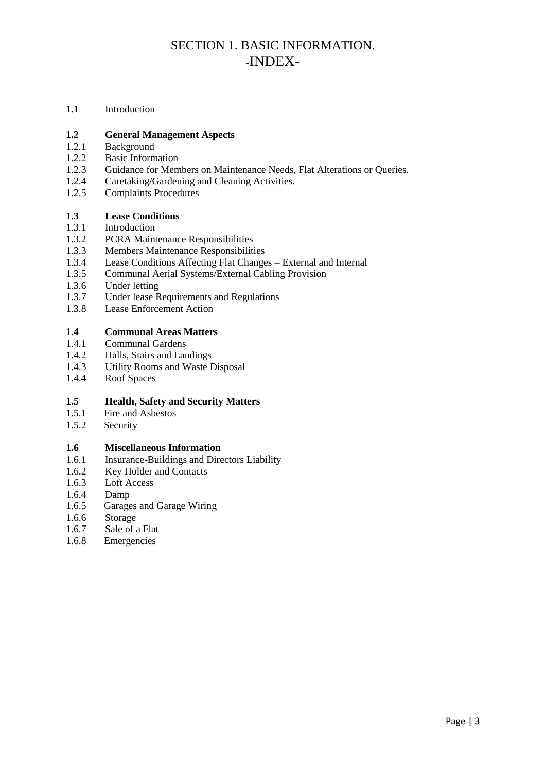## SECTION 1. BASIC INFORMATION. -INDEX-

**1.1** Introduction

#### **1.2 General Management Aspects**

- 1.2.1 Background
- 1.2.2 Basic Information
- 1.2.3 Guidance for Members on Maintenance Needs, Flat Alterations or Queries.
- 1.2.4 Caretaking/Gardening and Cleaning Activities.
- 1.2.5 Complaints Procedures

#### **1.3 Lease Conditions**

- 1.3.1 Introduction
- 1.3.2 PCRA Maintenance Responsibilities
- 1.3.3 Members Maintenance Responsibilities
- 1.3.4 Lease Conditions Affecting Flat Changes External and Internal
- 1.3.5 Communal Aerial Systems/External Cabling Provision
- 1.3.6 Under letting<br>1.3.7 Under lease R
- Under lease Requirements and Regulations
- 1.3.8 Lease Enforcement Action

#### **1.4 Communal Areas Matters**

- 1.4.1 Communal Gardens
- 1.4.2 Halls, Stairs and Landings
- 1.4.3 Utility Rooms and Waste Disposal
- 1.4.4 Roof Spaces

#### **1.5 Health, Safety and Security Matters**

- 1.5.1 Fire and Asbestos
- 1.5.2 Security

#### **1.6 Miscellaneous Information**

- 1.6.1 Insurance-Buildings and Directors Liability
- 1.6.2 Key Holder and Contacts
- 1.6.3 Loft Access
- 1.6.4 Damp
- 1.6.5 Garages and Garage Wiring
- 1.6.6 Storage
- 1.6.7 Sale of a Flat
- 1.6.8 Emergencies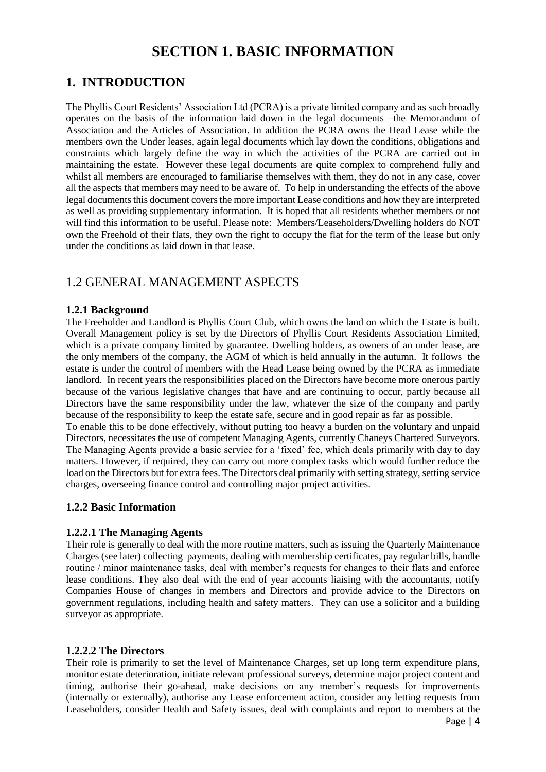## **SECTION 1. BASIC INFORMATION**

## **1. INTRODUCTION**

The Phyllis Court Residents' Association Ltd (PCRA) is a private limited company and as such broadly operates on the basis of the information laid down in the legal documents –the Memorandum of Association and the Articles of Association. In addition the PCRA owns the Head Lease while the members own the Under leases, again legal documents which lay down the conditions, obligations and constraints which largely define the way in which the activities of the PCRA are carried out in maintaining the estate. However these legal documents are quite complex to comprehend fully and whilst all members are encouraged to familiarise themselves with them, they do not in any case, cover all the aspects that members may need to be aware of. To help in understanding the effects of the above legal documents this document covers the more important Lease conditions and how they are interpreted as well as providing supplementary information. It is hoped that all residents whether members or not will find this information to be useful. Please note: Members/Leaseholders/Dwelling holders do NOT own the Freehold of their flats, they own the right to occupy the flat for the term of the lease but only under the conditions as laid down in that lease.

## 1.2 GENERAL MANAGEMENT ASPECTS

#### **1.2.1 Background**

The Freeholder and Landlord is Phyllis Court Club, which owns the land on which the Estate is built. Overall Management policy is set by the Directors of Phyllis Court Residents Association Limited, which is a private company limited by guarantee. Dwelling holders, as owners of an under lease, are the only members of the company, the AGM of which is held annually in the autumn. It follows the estate is under the control of members with the Head Lease being owned by the PCRA as immediate landlord. In recent years the responsibilities placed on the Directors have become more onerous partly because of the various legislative changes that have and are continuing to occur, partly because all Directors have the same responsibility under the law, whatever the size of the company and partly because of the responsibility to keep the estate safe, secure and in good repair as far as possible.

To enable this to be done effectively, without putting too heavy a burden on the voluntary and unpaid Directors, necessitates the use of competent Managing Agents, currently Chaneys Chartered Surveyors. The Managing Agents provide a basic service for a 'fixed' fee, which deals primarily with day to day matters. However, if required, they can carry out more complex tasks which would further reduce the load on the Directors but for extra fees. The Directors deal primarily with setting strategy, setting service charges, overseeing finance control and controlling major project activities.

### **1.2.2 Basic Information**

### **1.2.2.1 The Managing Agents**

Their role is generally to deal with the more routine matters, such as issuing the Quarterly Maintenance Charges (see later) collecting payments, dealing with membership certificates, pay regular bills, handle routine / minor maintenance tasks, deal with member's requests for changes to their flats and enforce lease conditions. They also deal with the end of year accounts liaising with the accountants, notify Companies House of changes in members and Directors and provide advice to the Directors on government regulations, including health and safety matters. They can use a solicitor and a building surveyor as appropriate.

### **1.2.2.2 The Directors**

Their role is primarily to set the level of Maintenance Charges, set up long term expenditure plans, monitor estate deterioration, initiate relevant professional surveys, determine major project content and timing, authorise their go-ahead, make decisions on any member's requests for improvements (internally or externally), authorise any Lease enforcement action, consider any letting requests from Leaseholders, consider Health and Safety issues, deal with complaints and report to members at the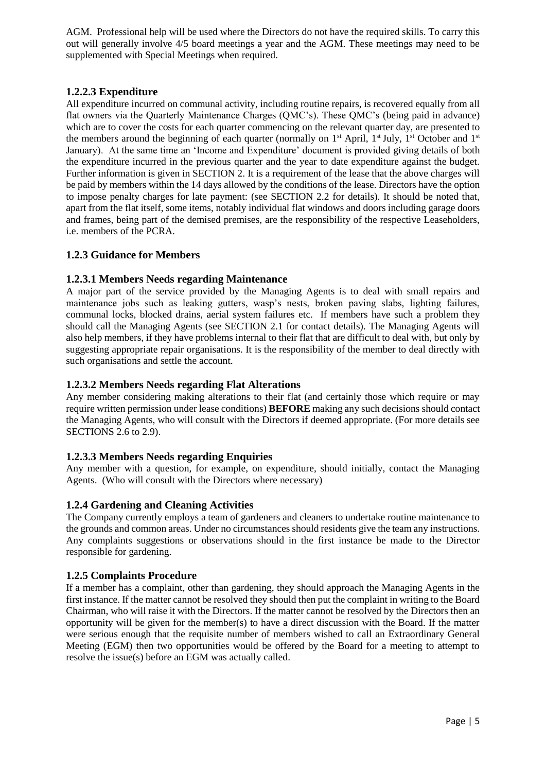AGM. Professional help will be used where the Directors do not have the required skills. To carry this out will generally involve 4/5 board meetings a year and the AGM. These meetings may need to be supplemented with Special Meetings when required.

### **1.2.2.3 Expenditure**

All expenditure incurred on communal activity, including routine repairs, is recovered equally from all flat owners via the Quarterly Maintenance Charges (QMC's). These QMC's (being paid in advance) which are to cover the costs for each quarter commencing on the relevant quarter day, are presented to the members around the beginning of each quarter (normally on  $1<sup>st</sup>$  April,  $1<sup>st</sup>$  July,  $1<sup>st</sup>$  October and  $1<sup>st</sup>$ January). At the same time an 'Income and Expenditure' document is provided giving details of both the expenditure incurred in the previous quarter and the year to date expenditure against the budget. Further information is given in SECTION 2. It is a requirement of the lease that the above charges will be paid by members within the 14 days allowed by the conditions of the lease. Directors have the option to impose penalty charges for late payment: (see SECTION 2.2 for details). It should be noted that, apart from the flat itself, some items, notably individual flat windows and doors including garage doors and frames, being part of the demised premises, are the responsibility of the respective Leaseholders, i.e. members of the PCRA.

### **1.2.3 Guidance for Members**

### **1.2.3.1 Members Needs regarding Maintenance**

A major part of the service provided by the Managing Agents is to deal with small repairs and maintenance jobs such as leaking gutters, wasp's nests, broken paving slabs, lighting failures, communal locks, blocked drains, aerial system failures etc. If members have such a problem they should call the Managing Agents (see SECTION 2.1 for contact details). The Managing Agents will also help members, if they have problems internal to their flat that are difficult to deal with, but only by suggesting appropriate repair organisations. It is the responsibility of the member to deal directly with such organisations and settle the account.

### **1.2.3.2 Members Needs regarding Flat Alterations**

Any member considering making alterations to their flat (and certainly those which require or may require written permission under lease conditions) **BEFORE** making any such decisions should contact the Managing Agents, who will consult with the Directors if deemed appropriate. (For more details see SECTIONS 2.6 to 2.9).

### **1.2.3.3 Members Needs regarding Enquiries**

Any member with a question, for example, on expenditure, should initially, contact the Managing Agents. (Who will consult with the Directors where necessary)

### **1.2.4 Gardening and Cleaning Activities**

The Company currently employs a team of gardeners and cleaners to undertake routine maintenance to the grounds and common areas. Under no circumstances should residents give the team any instructions. Any complaints suggestions or observations should in the first instance be made to the Director responsible for gardening.

### **1.2.5 Complaints Procedure**

If a member has a complaint, other than gardening, they should approach the Managing Agents in the first instance. If the matter cannot be resolved they should then put the complaint in writing to the Board Chairman, who will raise it with the Directors. If the matter cannot be resolved by the Directors then an opportunity will be given for the member(s) to have a direct discussion with the Board. If the matter were serious enough that the requisite number of members wished to call an Extraordinary General Meeting (EGM) then two opportunities would be offered by the Board for a meeting to attempt to resolve the issue(s) before an EGM was actually called.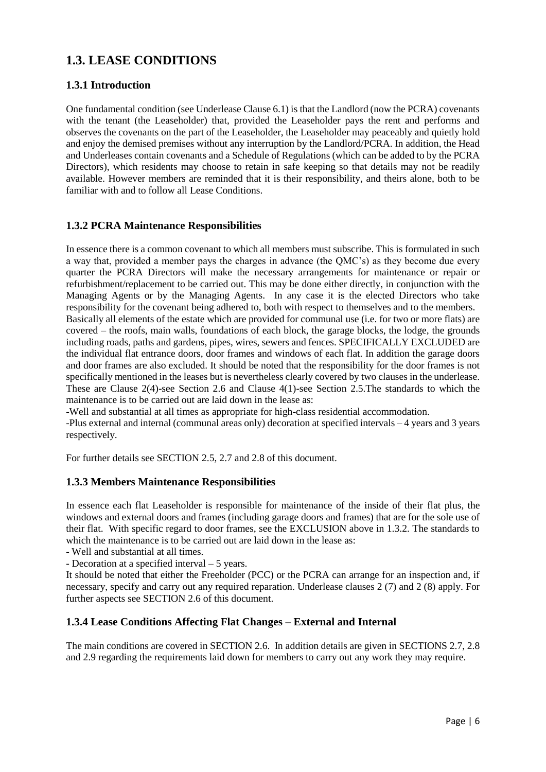## **1.3. LEASE CONDITIONS**

### **1.3.1 Introduction**

One fundamental condition (see Underlease Clause 6.1) is that the Landlord (now the PCRA) covenants with the tenant (the Leaseholder) that, provided the Leaseholder pays the rent and performs and observes the covenants on the part of the Leaseholder, the Leaseholder may peaceably and quietly hold and enjoy the demised premises without any interruption by the Landlord/PCRA. In addition, the Head and Underleases contain covenants and a Schedule of Regulations (which can be added to by the PCRA Directors), which residents may choose to retain in safe keeping so that details may not be readily available. However members are reminded that it is their responsibility, and theirs alone, both to be familiar with and to follow all Lease Conditions.

### **1.3.2 PCRA Maintenance Responsibilities**

In essence there is a common covenant to which all members must subscribe. This is formulated in such a way that, provided a member pays the charges in advance (the QMC's) as they become due every quarter the PCRA Directors will make the necessary arrangements for maintenance or repair or refurbishment/replacement to be carried out. This may be done either directly, in conjunction with the Managing Agents or by the Managing Agents. In any case it is the elected Directors who take responsibility for the covenant being adhered to, both with respect to themselves and to the members. Basically all elements of the estate which are provided for communal use (i.e. for two or more flats) are covered – the roofs, main walls, foundations of each block, the garage blocks, the lodge, the grounds including roads, paths and gardens, pipes, wires, sewers and fences. SPECIFICALLY EXCLUDED are the individual flat entrance doors, door frames and windows of each flat. In addition the garage doors and door frames are also excluded. It should be noted that the responsibility for the door frames is not specifically mentioned in the leases but is nevertheless clearly covered by two clauses in the underlease. These are Clause 2(4)-see Section 2.6 and Clause 4(1)-see Section 2.5.The standards to which the maintenance is to be carried out are laid down in the lease as:

-Well and substantial at all times as appropriate for high-class residential accommodation.

-Plus external and internal (communal areas only) decoration at specified intervals – 4 years and 3 years respectively.

For further details see SECTION 2.5, 2.7 and 2.8 of this document.

### **1.3.3 Members Maintenance Responsibilities**

In essence each flat Leaseholder is responsible for maintenance of the inside of their flat plus, the windows and external doors and frames (including garage doors and frames) that are for the sole use of their flat. With specific regard to door frames, see the EXCLUSION above in 1.3.2. The standards to which the maintenance is to be carried out are laid down in the lease as:

- Well and substantial at all times.

- Decoration at a specified interval – 5 years.

It should be noted that either the Freeholder (PCC) or the PCRA can arrange for an inspection and, if necessary, specify and carry out any required reparation. Underlease clauses 2 (7) and 2 (8) apply. For further aspects see SECTION 2.6 of this document.

### **1.3.4 Lease Conditions Affecting Flat Changes – External and Internal**

The main conditions are covered in SECTION 2.6. In addition details are given in SECTIONS 2.7, 2.8 and 2.9 regarding the requirements laid down for members to carry out any work they may require.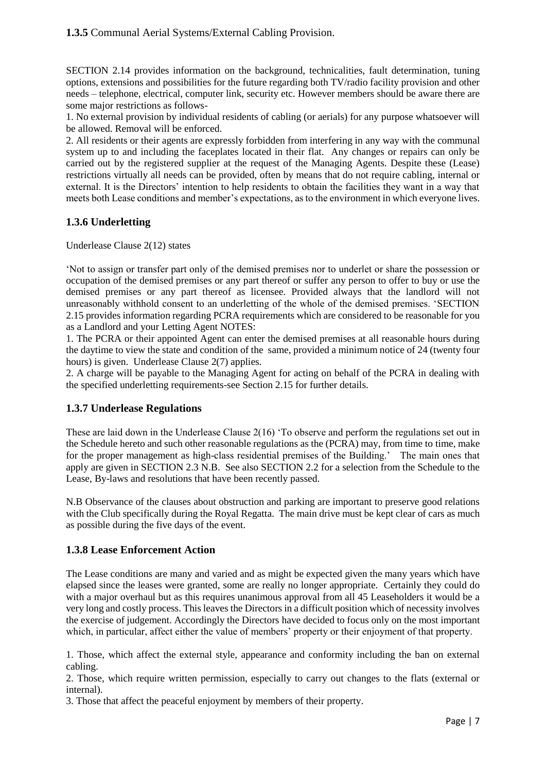SECTION 2.14 provides information on the background, technicalities, fault determination, tuning options, extensions and possibilities for the future regarding both TV/radio facility provision and other needs – telephone, electrical, computer link, security etc. However members should be aware there are some major restrictions as follows-

1. No external provision by individual residents of cabling (or aerials) for any purpose whatsoever will be allowed. Removal will be enforced.

2. All residents or their agents are expressly forbidden from interfering in any way with the communal system up to and including the faceplates located in their flat. Any changes or repairs can only be carried out by the registered supplier at the request of the Managing Agents. Despite these (Lease) restrictions virtually all needs can be provided, often by means that do not require cabling, internal or external. It is the Directors' intention to help residents to obtain the facilities they want in a way that meets both Lease conditions and member's expectations, as to the environment in which everyone lives.

### **1.3.6 Underletting**

Underlease Clause 2(12) states

'Not to assign or transfer part only of the demised premises nor to underlet or share the possession or occupation of the demised premises or any part thereof or suffer any person to offer to buy or use the demised premises or any part thereof as licensee. Provided always that the landlord will not unreasonably withhold consent to an underletting of the whole of the demised premises. 'SECTION 2.15 provides information regarding PCRA requirements which are considered to be reasonable for you as a Landlord and your Letting Agent NOTES:

1. The PCRA or their appointed Agent can enter the demised premises at all reasonable hours during the daytime to view the state and condition of the same, provided a minimum notice of 24 (twenty four hours) is given. Underlease Clause 2(7) applies.

2. A charge will be payable to the Managing Agent for acting on behalf of the PCRA in dealing with the specified underletting requirements-see Section 2.15 for further details.

### **1.3.7 Underlease Regulations**

These are laid down in the Underlease Clause 2(16) 'To observe and perform the regulations set out in the Schedule hereto and such other reasonable regulations as the (PCRA) may, from time to time, make for the proper management as high-class residential premises of the Building.' The main ones that apply are given in SECTION 2.3 N.B. See also SECTION 2.2 for a selection from the Schedule to the Lease, By-laws and resolutions that have been recently passed.

N.B Observance of the clauses about obstruction and parking are important to preserve good relations with the Club specifically during the Royal Regatta. The main drive must be kept clear of cars as much as possible during the five days of the event.

### **1.3.8 Lease Enforcement Action**

The Lease conditions are many and varied and as might be expected given the many years which have elapsed since the leases were granted, some are really no longer appropriate. Certainly they could do with a major overhaul but as this requires unanimous approval from all 45 Leaseholders it would be a very long and costly process. This leaves the Directors in a difficult position which of necessity involves the exercise of judgement. Accordingly the Directors have decided to focus only on the most important which, in particular, affect either the value of members' property or their enjoyment of that property.

1. Those, which affect the external style, appearance and conformity including the ban on external cabling.

2. Those, which require written permission, especially to carry out changes to the flats (external or internal).

3. Those that affect the peaceful enjoyment by members of their property.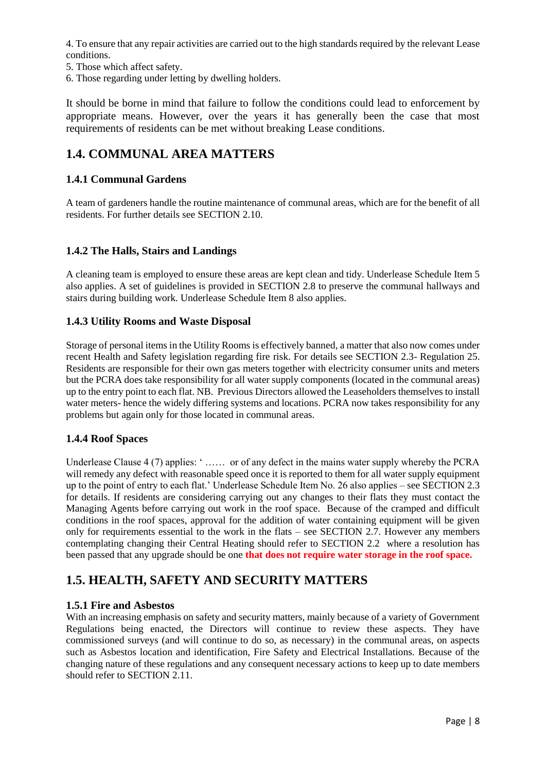4. To ensure that any repair activities are carried out to the high standards required by the relevant Lease conditions.

- 5. Those which affect safety.
- 6. Those regarding under letting by dwelling holders.

It should be borne in mind that failure to follow the conditions could lead to enforcement by appropriate means. However, over the years it has generally been the case that most requirements of residents can be met without breaking Lease conditions.

## **1.4. COMMUNAL AREA MATTERS**

### **1.4.1 Communal Gardens**

A team of gardeners handle the routine maintenance of communal areas, which are for the benefit of all residents. For further details see SECTION 2.10.

### **1.4.2 The Halls, Stairs and Landings**

A cleaning team is employed to ensure these areas are kept clean and tidy. Underlease Schedule Item 5 also applies. A set of guidelines is provided in SECTION 2.8 to preserve the communal hallways and stairs during building work. Underlease Schedule Item 8 also applies.

### **1.4.3 Utility Rooms and Waste Disposal**

Storage of personal items in the Utility Rooms is effectively banned, a matter that also now comes under recent Health and Safety legislation regarding fire risk. For details see SECTION 2.3- Regulation 25. Residents are responsible for their own gas meters together with electricity consumer units and meters but the PCRA does take responsibility for all water supply components (located in the communal areas) up to the entry point to each flat. NB. Previous Directors allowed the Leaseholders themselves to install water meters- hence the widely differing systems and locations. PCRA now takes responsibility for any problems but again only for those located in communal areas.

#### **1.4.4 Roof Spaces**

Underlease Clause 4 (7) applies: ' …… or of any defect in the mains water supply whereby the PCRA will remedy any defect with reasonable speed once it is reported to them for all water supply equipment up to the point of entry to each flat.' Underlease Schedule Item No. 26 also applies – see SECTION 2.3 for details. If residents are considering carrying out any changes to their flats they must contact the Managing Agents before carrying out work in the roof space. Because of the cramped and difficult conditions in the roof spaces, approval for the addition of water containing equipment will be given only for requirements essential to the work in the flats – see SECTION 2.7. However any members contemplating changing their Central Heating should refer to SECTION 2.2 where a resolution has been passed that any upgrade should be one **that does not require water storage in the roof space.**

## **1.5. HEALTH, SAFETY AND SECURITY MATTERS**

### **1.5.1 Fire and Asbestos**

With an increasing emphasis on safety and security matters, mainly because of a variety of Government Regulations being enacted, the Directors will continue to review these aspects. They have commissioned surveys (and will continue to do so, as necessary) in the communal areas, on aspects such as Asbestos location and identification, Fire Safety and Electrical Installations. Because of the changing nature of these regulations and any consequent necessary actions to keep up to date members should refer to SECTION 2.11.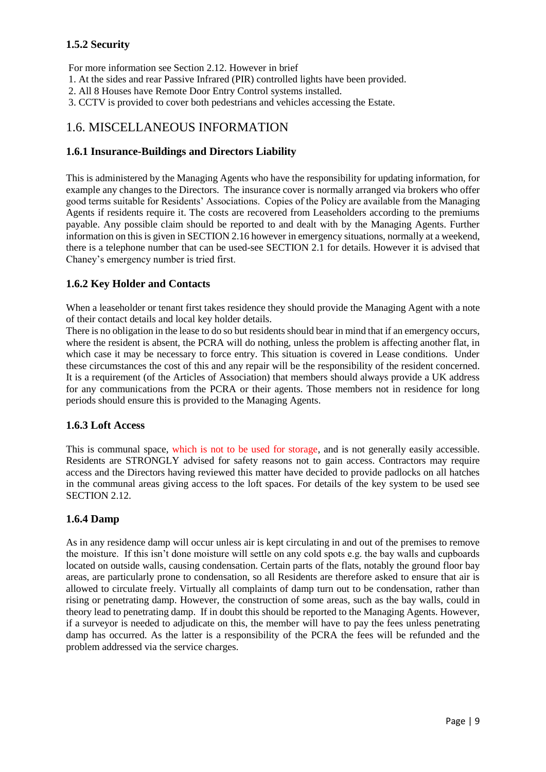### **1.5.2 Security**

For more information see Section 2.12. However in brief

- 1. At the sides and rear Passive Infrared (PIR) controlled lights have been provided.
- 2. All 8 Houses have Remote Door Entry Control systems installed.
- 3. CCTV is provided to cover both pedestrians and vehicles accessing the Estate.

## 1.6. MISCELLANEOUS INFORMATION

### **1.6.1 Insurance-Buildings and Directors Liability**

This is administered by the Managing Agents who have the responsibility for updating information, for example any changes to the Directors. The insurance cover is normally arranged via brokers who offer good terms suitable for Residents' Associations. Copies of the Policy are available from the Managing Agents if residents require it. The costs are recovered from Leaseholders according to the premiums payable. Any possible claim should be reported to and dealt with by the Managing Agents. Further information on this is given in SECTION 2.16 however in emergency situations, normally at a weekend, there is a telephone number that can be used-see SECTION 2.1 for details. However it is advised that Chaney's emergency number is tried first.

### **1.6.2 Key Holder and Contacts**

When a leaseholder or tenant first takes residence they should provide the Managing Agent with a note of their contact details and local key holder details.

There is no obligation in the lease to do so but residents should bear in mind that if an emergency occurs, where the resident is absent, the PCRA will do nothing, unless the problem is affecting another flat, in which case it may be necessary to force entry. This situation is covered in Lease conditions. Under these circumstances the cost of this and any repair will be the responsibility of the resident concerned. It is a requirement (of the Articles of Association) that members should always provide a UK address for any communications from the PCRA or their agents. Those members not in residence for long periods should ensure this is provided to the Managing Agents.

### **1.6.3 Loft Access**

This is communal space, which is not to be used for storage, and is not generally easily accessible. Residents are STRONGLY advised for safety reasons not to gain access. Contractors may require access and the Directors having reviewed this matter have decided to provide padlocks on all hatches in the communal areas giving access to the loft spaces. For details of the key system to be used see SECTION 2.12.

### **1.6.4 Damp**

As in any residence damp will occur unless air is kept circulating in and out of the premises to remove the moisture. If this isn't done moisture will settle on any cold spots e.g. the bay walls and cupboards located on outside walls, causing condensation. Certain parts of the flats, notably the ground floor bay areas, are particularly prone to condensation, so all Residents are therefore asked to ensure that air is allowed to circulate freely. Virtually all complaints of damp turn out to be condensation, rather than rising or penetrating damp. However, the construction of some areas, such as the bay walls, could in theory lead to penetrating damp. If in doubt this should be reported to the Managing Agents. However, if a surveyor is needed to adjudicate on this, the member will have to pay the fees unless penetrating damp has occurred. As the latter is a responsibility of the PCRA the fees will be refunded and the problem addressed via the service charges.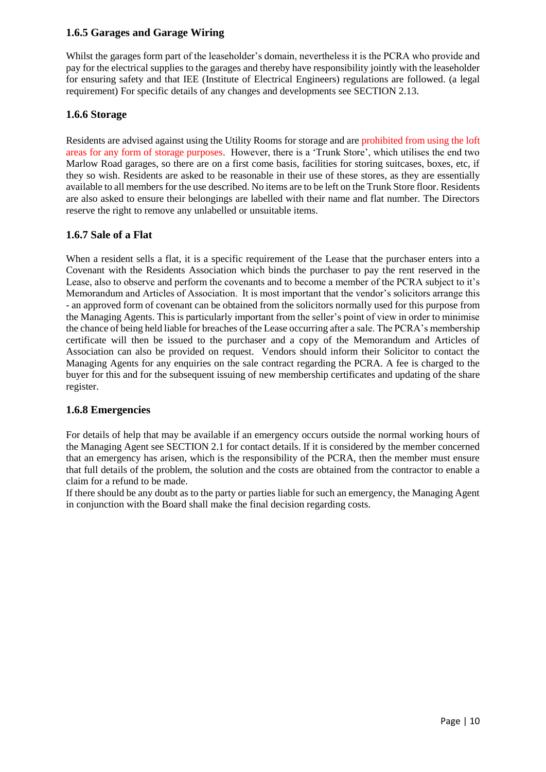### **1.6.5 Garages and Garage Wiring**

Whilst the garages form part of the leaseholder's domain, nevertheless it is the PCRA who provide and pay for the electrical supplies to the garages and thereby have responsibility jointly with the leaseholder for ensuring safety and that IEE (Institute of Electrical Engineers) regulations are followed. (a legal requirement) For specific details of any changes and developments see SECTION 2.13.

### **1.6.6 Storage**

Residents are advised against using the Utility Rooms for storage and are prohibited from using the loft areas for any form of storage purposes. However, there is a 'Trunk Store', which utilises the end two Marlow Road garages, so there are on a first come basis, facilities for storing suitcases, boxes, etc, if they so wish. Residents are asked to be reasonable in their use of these stores, as they are essentially available to all members for the use described. No items are to be left on the Trunk Store floor. Residents are also asked to ensure their belongings are labelled with their name and flat number. The Directors reserve the right to remove any unlabelled or unsuitable items.

### **1.6.7 Sale of a Flat**

When a resident sells a flat, it is a specific requirement of the Lease that the purchaser enters into a Covenant with the Residents Association which binds the purchaser to pay the rent reserved in the Lease, also to observe and perform the covenants and to become a member of the PCRA subject to it's Memorandum and Articles of Association. It is most important that the vendor's solicitors arrange this - an approved form of covenant can be obtained from the solicitors normally used for this purpose from the Managing Agents. This is particularly important from the seller's point of view in order to minimise the chance of being held liable for breaches of the Lease occurring after a sale. The PCRA's membership certificate will then be issued to the purchaser and a copy of the Memorandum and Articles of Association can also be provided on request. Vendors should inform their Solicitor to contact the Managing Agents for any enquiries on the sale contract regarding the PCRA. A fee is charged to the buyer for this and for the subsequent issuing of new membership certificates and updating of the share register.

### **1.6.8 Emergencies**

For details of help that may be available if an emergency occurs outside the normal working hours of the Managing Agent see SECTION 2.1 for contact details. If it is considered by the member concerned that an emergency has arisen, which is the responsibility of the PCRA, then the member must ensure that full details of the problem, the solution and the costs are obtained from the contractor to enable a claim for a refund to be made.

If there should be any doubt as to the party or parties liable for such an emergency, the Managing Agent in conjunction with the Board shall make the final decision regarding costs.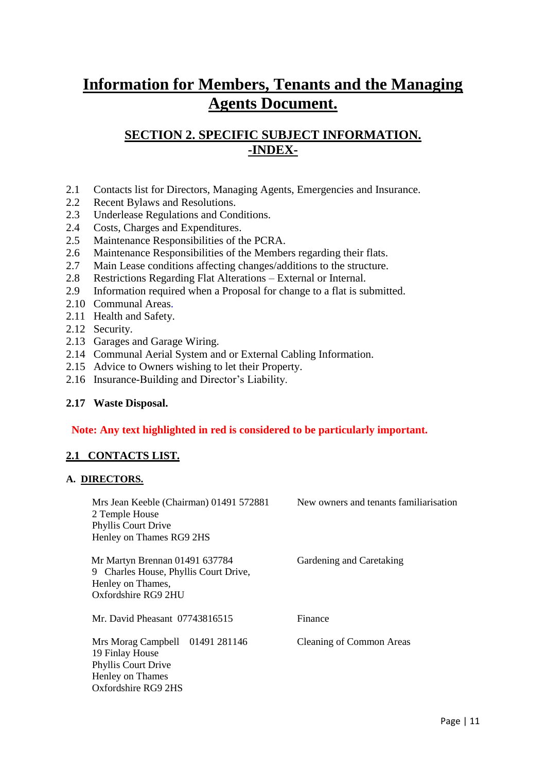# **Information for Members, Tenants and the Managing Agents Document.**

## **SECTION 2. SPECIFIC SUBJECT INFORMATION. -INDEX-**

- 2.1 Contacts list for Directors, Managing Agents, Emergencies and Insurance.
- 2.2 Recent Bylaws and Resolutions.
- 2.3 Underlease Regulations and Conditions.
- 2.4 Costs, Charges and Expenditures.
- 2.5 Maintenance Responsibilities of the PCRA.
- 2.6 Maintenance Responsibilities of the Members regarding their flats.
- 2.7 Main Lease conditions affecting changes/additions to the structure.
- 2.8 Restrictions Regarding Flat Alterations External or Internal.
- 2.9 Information required when a Proposal for change to a flat is submitted.
- 2.10 Communal Areas.
- 2.11 Health and Safety.
- 2.12 Security.
- 2.13 Garages and Garage Wiring.
- 2.14 Communal Aerial System and or External Cabling Information.
- 2.15 Advice to Owners wishing to let their Property.
- 2.16 Insurance-Building and Director's Liability.

### **2.17 Waste Disposal.**

### **Note: Any text highlighted in red is considered to be particularly important.**

### **2.1 CONTACTS LIST.**

#### **A. DIRECTORS.**

| Mrs Jean Keeble (Chairman) 01491 572881<br>2 Temple House<br><b>Phyllis Court Drive</b><br>Henley on Thames RG9 2HS         | New owners and tenants familiarisation |
|-----------------------------------------------------------------------------------------------------------------------------|----------------------------------------|
| Mr Martyn Brennan 01491 637784<br>9 Charles House, Phyllis Court Drive,<br>Henley on Thames,<br>Oxfordshire RG9 2HU         | Gardening and Caretaking               |
| Mr. David Pheasant 07743816515                                                                                              | Finance                                |
| Mrs Morag Campbell 01491 281146<br>19 Finlay House<br><b>Phyllis Court Drive</b><br>Henley on Thames<br>Oxfordshire RG9 2HS | <b>Cleaning of Common Areas</b>        |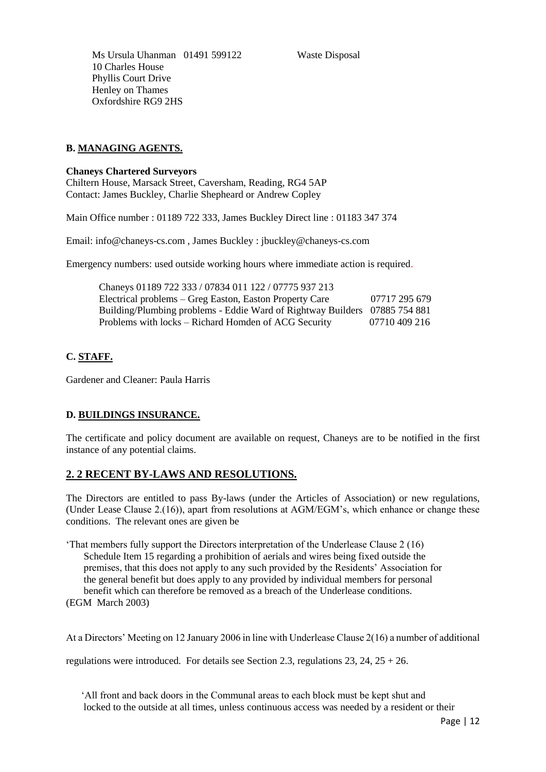Ms Ursula Uhanman 01491 599122 Waste Disposal 10 Charles House Phyllis Court Drive Henley on Thames Oxfordshire RG9 2HS

### **B. MANAGING AGENTS.**

#### **Chaneys Chartered Surveyors**

Chiltern House, Marsack Street, Caversham, Reading, RG4 5AP Contact: James Buckley, Charlie Shepheard or Andrew Copley

Main Office number : 01189 722 333, James Buckley Direct line : 01183 347 374

Email: info@chaneys-cs.com , James Buckley : jbuckley@chaneys-cs.com

Emergency numbers: used outside working hours where immediate action is required.

| Chaneys 01189 722 333 / 07834 011 122 / 07775 937 213                      |               |
|----------------------------------------------------------------------------|---------------|
| Electrical problems – Greg Easton, Easton Property Care                    | 07717 295 679 |
| Building/Plumbing problems - Eddie Ward of Rightway Builders 07885 754 881 |               |
| Problems with locks – Richard Homden of ACG Security                       | 07710 409 216 |

### **C. STAFF.**

Gardener and Cleaner: Paula Harris

### **D. BUILDINGS INSURANCE.**

The certificate and policy document are available on request, Chaneys are to be notified in the first instance of any potential claims.

### **2. 2 RECENT BY-LAWS AND RESOLUTIONS.**

The Directors are entitled to pass By-laws (under the Articles of Association) or new regulations, (Under Lease Clause 2.(16)), apart from resolutions at AGM/EGM's, which enhance or change these conditions. The relevant ones are given be

'That members fully support the Directors interpretation of the Underlease Clause 2 (16) Schedule Item 15 regarding a prohibition of aerials and wires being fixed outside the premises, that this does not apply to any such provided by the Residents' Association for the general benefit but does apply to any provided by individual members for personal benefit which can therefore be removed as a breach of the Underlease conditions. (EGM March 2003)

At a Directors' Meeting on 12 January 2006 in line with Underlease Clause 2(16) a number of additional

regulations were introduced. For details see Section 2.3, regulations 23, 24, 25 + 26.

 'All front and back doors in the Communal areas to each block must be kept shut and locked to the outside at all times, unless continuous access was needed by a resident or their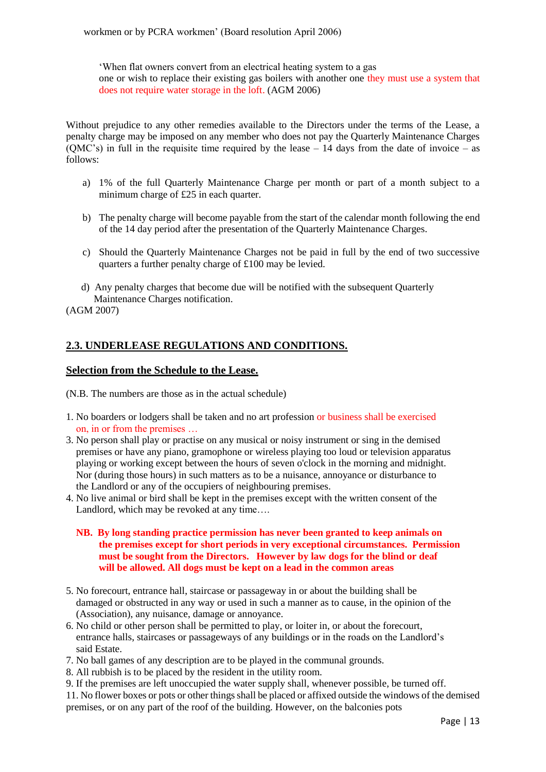workmen or by PCRA workmen' (Board resolution April 2006)

'When flat owners convert from an electrical heating system to a gas one or wish to replace their existing gas boilers with another one they must use a system that does not require water storage in the loft. (AGM 2006)

Without prejudice to any other remedies available to the Directors under the terms of the Lease, a penalty charge may be imposed on any member who does not pay the Quarterly Maintenance Charges  $\overline{(QMC's)}$  in full in the requisite time required by the lease  $-14$  days from the date of invoice – as follows:

- a) 1% of the full Quarterly Maintenance Charge per month or part of a month subject to a minimum charge of £25 in each quarter.
- b) The penalty charge will become payable from the start of the calendar month following the end of the 14 day period after the presentation of the Quarterly Maintenance Charges.
- c) Should the Quarterly Maintenance Charges not be paid in full by the end of two successive quarters a further penalty charge of £100 may be levied.
- d) Any penalty charges that become due will be notified with the subsequent Quarterly Maintenance Charges notification.

(AGM 2007)

### **2.3. UNDERLEASE REGULATIONS AND CONDITIONS.**

#### **Selection from the Schedule to the Lease.**

(N.B. The numbers are those as in the actual schedule)

- 1. No boarders or lodgers shall be taken and no art profession or business shall be exercised on, in or from the premises …
- 3. No person shall play or practise on any musical or noisy instrument or sing in the demised premises or have any piano, gramophone or wireless playing too loud or television apparatus playing or working except between the hours of seven o'clock in the morning and midnight. Nor (during those hours) in such matters as to be a nuisance, annoyance or disturbance to the Landlord or any of the occupiers of neighbouring premises.
- 4. No live animal or bird shall be kept in the premises except with the written consent of the Landlord, which may be revoked at any time....

#### **NB. By long standing practice permission has never been granted to keep animals on the premises except for short periods in very exceptional circumstances. Permission must be sought from the Directors. However by law dogs for the blind or deaf will be allowed. All dogs must be kept on a lead in the common areas**

- 5. No forecourt, entrance hall, staircase or passageway in or about the building shall be damaged or obstructed in any way or used in such a manner as to cause, in the opinion of the (Association), any nuisance, damage or annoyance.
- 6. No child or other person shall be permitted to play, or loiter in, or about the forecourt, entrance halls, staircases or passageways of any buildings or in the roads on the Landlord's said Estate.
- 7. No ball games of any description are to be played in the communal grounds.
- 8. All rubbish is to be placed by the resident in the utility room.
- 9. If the premises are left unoccupied the water supply shall, whenever possible, be turned off.

11. No flower boxes or pots or other things shall be placed or affixed outside the windows of the demised premises, or on any part of the roof of the building. However, on the balconies pots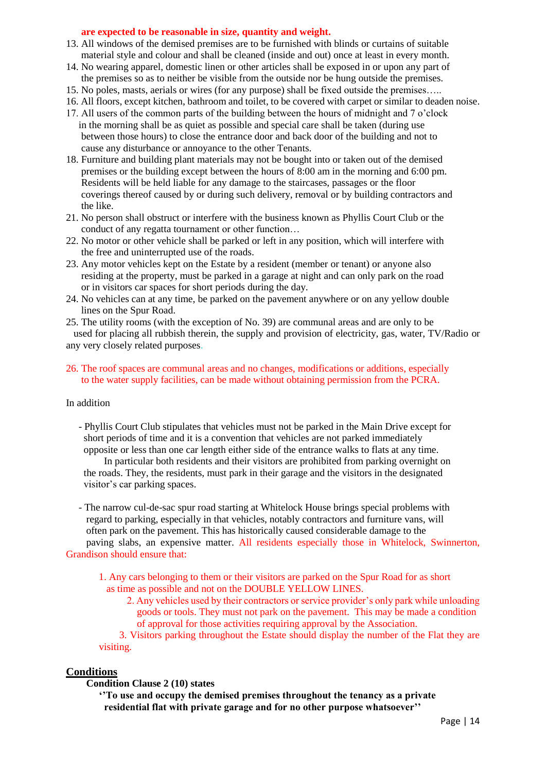#### **are expected to be reasonable in size, quantity and weight.**

- 13. All windows of the demised premises are to be furnished with blinds or curtains of suitable material style and colour and shall be cleaned (inside and out) once at least in every month.
- 14. No wearing apparel, domestic linen or other articles shall be exposed in or upon any part of the premises so as to neither be visible from the outside nor be hung outside the premises.
- 15. No poles, masts, aerials or wires (for any purpose) shall be fixed outside the premises…..
- 16. All floors, except kitchen, bathroom and toilet, to be covered with carpet or similar to deaden noise.
- 17. All users of the common parts of the building between the hours of midnight and 7 o'clock in the morning shall be as quiet as possible and special care shall be taken (during use between those hours) to close the entrance door and back door of the building and not to cause any disturbance or annoyance to the other Tenants.
- 18. Furniture and building plant materials may not be bought into or taken out of the demised premises or the building except between the hours of 8:00 am in the morning and 6:00 pm. Residents will be held liable for any damage to the staircases, passages or the floor coverings thereof caused by or during such delivery, removal or by building contractors and the like.
- 21. No person shall obstruct or interfere with the business known as Phyllis Court Club or the conduct of any regatta tournament or other function…
- 22. No motor or other vehicle shall be parked or left in any position, which will interfere with the free and uninterrupted use of the roads.
- 23. Any motor vehicles kept on the Estate by a resident (member or tenant) or anyone also residing at the property, must be parked in a garage at night and can only park on the road or in visitors car spaces for short periods during the day.
- 24. No vehicles can at any time, be parked on the pavement anywhere or on any yellow double lines on the Spur Road.
- 25. The utility rooms (with the exception of No. 39) are communal areas and are only to be used for placing all rubbish therein, the supply and provision of electricity, gas, water, TV/Radio or any very closely related purposes.
- 26. The roof spaces are communal areas and no changes, modifications or additions, especially to the water supply facilities, can be made without obtaining permission from the PCRA.

#### In addition

 - Phyllis Court Club stipulates that vehicles must not be parked in the Main Drive except for short periods of time and it is a convention that vehicles are not parked immediately opposite or less than one car length either side of the entrance walks to flats at any time.

 In particular both residents and their visitors are prohibited from parking overnight on the roads. They, the residents, must park in their garage and the visitors in the designated visitor's car parking spaces.

 - The narrow cul-de-sac spur road starting at Whitelock House brings special problems with regard to parking, especially in that vehicles, notably contractors and furniture vans, will often park on the pavement. This has historically caused considerable damage to the paving slabs, an expensive matter. All residents especially those in Whitelock, Swinnerton, Grandison should ensure that:

 1. Any cars belonging to them or their visitors are parked on the Spur Road for as short as time as possible and not on the DOUBLE YELLOW LINES.

 2. Any vehicles used by their contractors or service provider's only park while unloading goods or tools. They must not park on the pavement. This may be made a condition of approval for those activities requiring approval by the Association.

 3. Visitors parking throughout the Estate should display the number of the Flat they are visiting.

#### **Conditions**

#### **Condition Clause 2 (10) states**

**''To use and occupy the demised premises throughout the tenancy as a private residential flat with private garage and for no other purpose whatsoever''**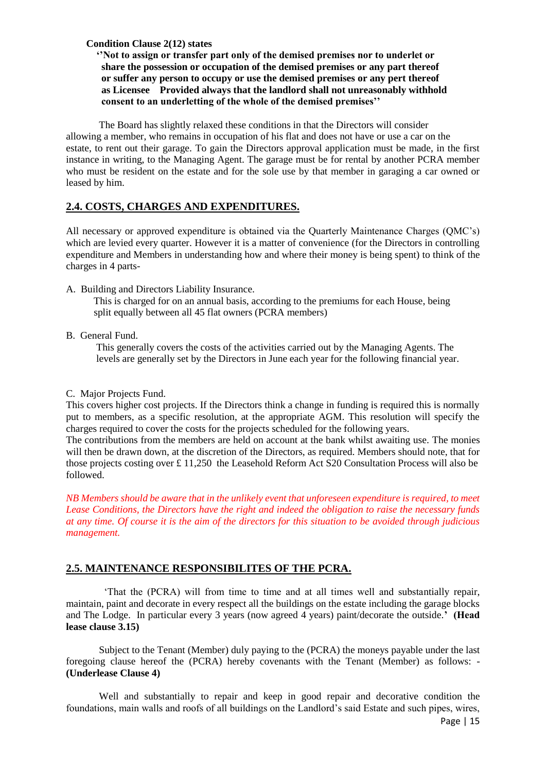#### **Condition Clause 2(12) states**

 **''Not to assign or transfer part only of the demised premises nor to underlet or share the possession or occupation of the demised premises or any part thereof or suffer any person to occupy or use the demised premises or any pert thereof as Licensee Provided always that the landlord shall not unreasonably withhold consent to an underletting of the whole of the demised premises''**

The Board has slightly relaxed these conditions in that the Directors will consider allowing a member, who remains in occupation of his flat and does not have or use a car on the estate, to rent out their garage. To gain the Directors approval application must be made, in the first instance in writing, to the Managing Agent. The garage must be for rental by another PCRA member who must be resident on the estate and for the sole use by that member in garaging a car owned or leased by him.

### **2.4. COSTS, CHARGES AND EXPENDITURES.**

All necessary or approved expenditure is obtained via the Quarterly Maintenance Charges (QMC's) which are levied every quarter. However it is a matter of convenience (for the Directors in controlling expenditure and Members in understanding how and where their money is being spent) to think of the charges in 4 parts-

A. Building and Directors Liability Insurance.

 This is charged for on an annual basis, according to the premiums for each House, being split equally between all 45 flat owners (PCRA members)

B. General Fund.

 This generally covers the costs of the activities carried out by the Managing Agents. The levels are generally set by the Directors in June each year for the following financial year.

C. Major Projects Fund.

This covers higher cost projects. If the Directors think a change in funding is required this is normally put to members, as a specific resolution, at the appropriate AGM. This resolution will specify the charges required to cover the costs for the projects scheduled for the following years.

The contributions from the members are held on account at the bank whilst awaiting use. The monies will then be drawn down, at the discretion of the Directors, as required. Members should note, that for those projects costing over £ 11,250 the Leasehold Reform Act S20 Consultation Process will also be followed.

*NB Members should be aware that in the unlikely event that unforeseen expenditure is required, to meet Lease Conditions, the Directors have the right and indeed the obligation to raise the necessary funds at any time. Of course it is the aim of the directors for this situation to be avoided through judicious management.* 

### **2.5. MAINTENANCE RESPONSIBILITES OF THE PCRA.**

 'That the (PCRA) will from time to time and at all times well and substantially repair, maintain, paint and decorate in every respect all the buildings on the estate including the garage blocks and The Lodge. In particular every 3 years (now agreed 4 years) paint/decorate the outside.**' (Head lease clause 3.15)**

Subject to the Tenant (Member) duly paying to the (PCRA) the moneys payable under the last foregoing clause hereof the (PCRA) hereby covenants with the Tenant (Member) as follows: - **(Underlease Clause 4)**

Well and substantially to repair and keep in good repair and decorative condition the foundations, main walls and roofs of all buildings on the Landlord's said Estate and such pipes, wires,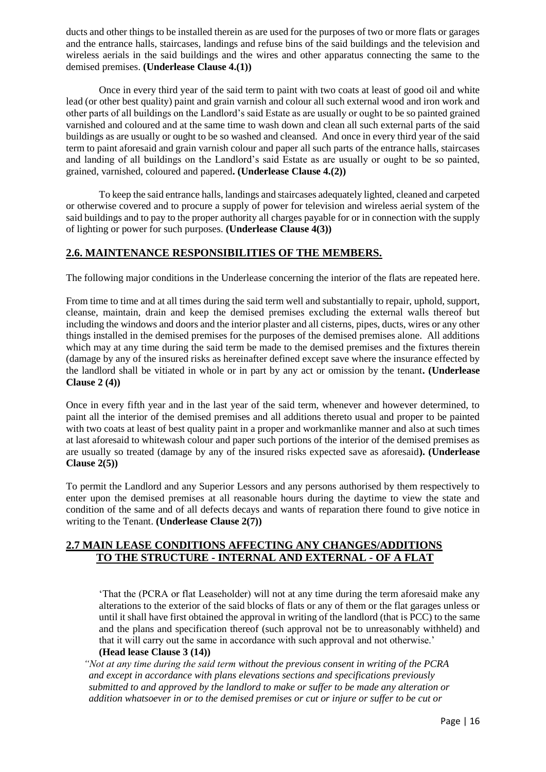ducts and other things to be installed therein as are used for the purposes of two or more flats or garages and the entrance halls, staircases, landings and refuse bins of the said buildings and the television and wireless aerials in the said buildings and the wires and other apparatus connecting the same to the demised premises. **(Underlease Clause 4.(1))**

Once in every third year of the said term to paint with two coats at least of good oil and white lead (or other best quality) paint and grain varnish and colour all such external wood and iron work and other parts of all buildings on the Landlord's said Estate as are usually or ought to be so painted grained varnished and coloured and at the same time to wash down and clean all such external parts of the said buildings as are usually or ought to be so washed and cleansed. And once in every third year of the said term to paint aforesaid and grain varnish colour and paper all such parts of the entrance halls, staircases and landing of all buildings on the Landlord's said Estate as are usually or ought to be so painted, grained, varnished, coloured and papered**. (Underlease Clause 4.(2))**

To keep the said entrance halls, landings and staircases adequately lighted, cleaned and carpeted or otherwise covered and to procure a supply of power for television and wireless aerial system of the said buildings and to pay to the proper authority all charges payable for or in connection with the supply of lighting or power for such purposes. **(Underlease Clause 4(3))**

### **2.6. MAINTENANCE RESPONSIBILITIES OF THE MEMBERS.**

The following major conditions in the Underlease concerning the interior of the flats are repeated here.

From time to time and at all times during the said term well and substantially to repair, uphold, support, cleanse, maintain, drain and keep the demised premises excluding the external walls thereof but including the windows and doors and the interior plaster and all cisterns, pipes, ducts, wires or any other things installed in the demised premises for the purposes of the demised premises alone. All additions which may at any time during the said term be made to the demised premises and the fixtures therein (damage by any of the insured risks as hereinafter defined except save where the insurance effected by the landlord shall be vitiated in whole or in part by any act or omission by the tenant**. (Underlease Clause 2 (4))**

Once in every fifth year and in the last year of the said term, whenever and however determined, to paint all the interior of the demised premises and all additions thereto usual and proper to be painted with two coats at least of best quality paint in a proper and workmanlike manner and also at such times at last aforesaid to whitewash colour and paper such portions of the interior of the demised premises as are usually so treated (damage by any of the insured risks expected save as aforesaid**). (Underlease Clause 2(5))**

To permit the Landlord and any Superior Lessors and any persons authorised by them respectively to enter upon the demised premises at all reasonable hours during the daytime to view the state and condition of the same and of all defects decays and wants of reparation there found to give notice in writing to the Tenant. **(Underlease Clause 2(7))**

### **2.7 MAIN LEASE CONDITIONS AFFECTING ANY CHANGES/ADDITIONS TO THE STRUCTURE - INTERNAL AND EXTERNAL - OF A FLAT**

'That the (PCRA or flat Leaseholder) will not at any time during the term aforesaid make any alterations to the exterior of the said blocks of flats or any of them or the flat garages unless or until it shall have first obtained the approval in writing of the landlord (that is PCC) to the same and the plans and specification thereof (such approval not be to unreasonably withheld) and that it will carry out the same in accordance with such approval and not otherwise.' **(Head lease Clause 3 (14))**

 *"Not at any time during the said term without the previous consent in writing of the PCRA and except in accordance with plans elevations sections and specifications previously submitted to and approved by the landlord to make or suffer to be made any alteration or addition whatsoever in or to the demised premises or cut or injure or suffer to be cut or*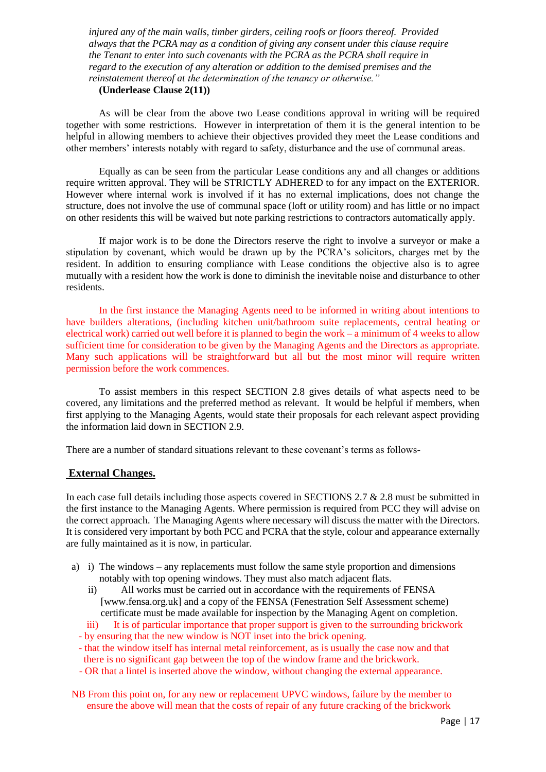*injured any of the main walls, timber girders, ceiling roofs or floors thereof. Provided always that the PCRA may as a condition of giving any consent under this clause require the Tenant to enter into such covenants with the PCRA as the PCRA shall require in regard to the execution of any alteration or addition to the demised premises and the reinstatement thereof at the determination of the tenancy or otherwise."* 

#### **(Underlease Clause 2(11))**

 As will be clear from the above two Lease conditions approval in writing will be required together with some restrictions. However in interpretation of them it is the general intention to be helpful in allowing members to achieve their objectives provided they meet the Lease conditions and other members' interests notably with regard to safety, disturbance and the use of communal areas.

Equally as can be seen from the particular Lease conditions any and all changes or additions require written approval. They will be STRICTLY ADHERED to for any impact on the EXTERIOR. However where internal work is involved if it has no external implications, does not change the structure, does not involve the use of communal space (loft or utility room) and has little or no impact on other residents this will be waived but note parking restrictions to contractors automatically apply.

If major work is to be done the Directors reserve the right to involve a surveyor or make a stipulation by covenant, which would be drawn up by the PCRA's solicitors, charges met by the resident. In addition to ensuring compliance with Lease conditions the objective also is to agree mutually with a resident how the work is done to diminish the inevitable noise and disturbance to other residents.

In the first instance the Managing Agents need to be informed in writing about intentions to have builders alterations, (including kitchen unit/bathroom suite replacements, central heating or electrical work) carried out well before it is planned to begin the work – a minimum of 4 weeks to allow sufficient time for consideration to be given by the Managing Agents and the Directors as appropriate. Many such applications will be straightforward but all but the most minor will require written permission before the work commences.

To assist members in this respect SECTION 2.8 gives details of what aspects need to be covered, any limitations and the preferred method as relevant. It would be helpful if members, when first applying to the Managing Agents, would state their proposals for each relevant aspect providing the information laid down in SECTION 2.9.

There are a number of standard situations relevant to these covenant's terms as follows-

#### **External Changes.**

In each case full details including those aspects covered in SECTIONS 2.7 & 2.8 must be submitted in the first instance to the Managing Agents. Where permission is required from PCC they will advise on the correct approach. The Managing Agents where necessary will discuss the matter with the Directors. It is considered very important by both PCC and PCRA that the style, colour and appearance externally are fully maintained as it is now, in particular.

- a) i) The windows any replacements must follow the same style proportion and dimensions notably with top opening windows. They must also match adjacent flats.
	- ii) All works must be carried out in accordance with the requirements of FENSA [www.fensa.org.uk] and a copy of the FENSA (Fenestration Self Assessment scheme) certificate must be made available for inspection by the Managing Agent on completion.
	- iii) It is of particular importance that proper support is given to the surrounding brickwork
	- by ensuring that the new window is NOT inset into the brick opening.
	- that the window itself has internal metal reinforcement, as is usually the case now and that there is no significant gap between the top of the window frame and the brickwork.
	- OR that a lintel is inserted above the window, without changing the external appearance.
- NB From this point on, for any new or replacement UPVC windows, failure by the member to ensure the above will mean that the costs of repair of any future cracking of the brickwork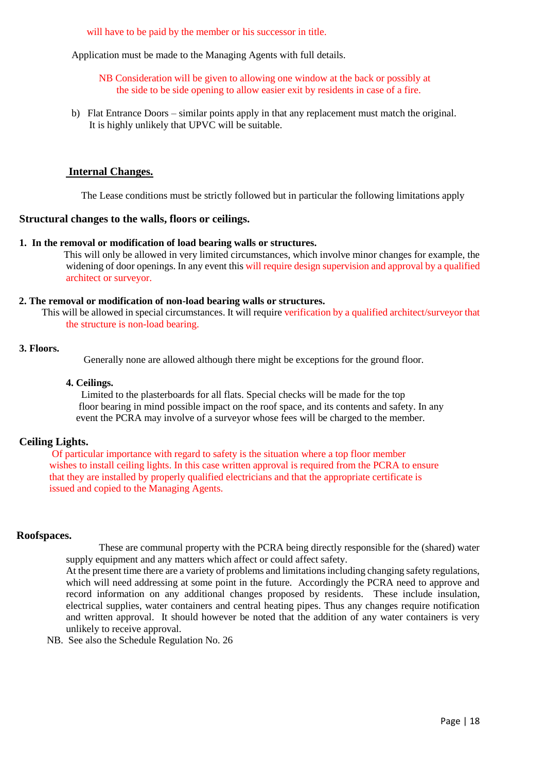will have to be paid by the member or his successor in title.

Application must be made to the Managing Agents with full details.

 NB Consideration will be given to allowing one window at the back or possibly at the side to be side opening to allow easier exit by residents in case of a fire.

b) Flat Entrance Doors – similar points apply in that any replacement must match the original. It is highly unlikely that UPVC will be suitable.

#### **Internal Changes.**

The Lease conditions must be strictly followed but in particular the following limitations apply

#### **Structural changes to the walls, floors or ceilings.**

#### **1. In the removal or modification of load bearing walls or structures.**

 This will only be allowed in very limited circumstances, which involve minor changes for example, the widening of door openings. In any event this will require design supervision and approval by a qualified architect or surveyor.

#### **2. The removal or modification of non-load bearing walls or structures.**

 This will be allowed in special circumstances. It will require verification by a qualified architect/surveyor that the structure is non-load bearing.

#### **3. Floors.**

Generally none are allowed although there might be exceptions for the ground floor.

#### **4. Ceilings.**

 Limited to the plasterboards for all flats. Special checks will be made for the top floor bearing in mind possible impact on the roof space, and its contents and safety. In any event the PCRA may involve of a surveyor whose fees will be charged to the member.

#### **Ceiling Lights.**

 Of particular importance with regard to safety is the situation where a top floor member wishes to install ceiling lights. In this case written approval is required from the PCRA to ensure that they are installed by properly qualified electricians and that the appropriate certificate is issued and copied to the Managing Agents.

#### **Roofspaces.**

These are communal property with the PCRA being directly responsible for the (shared) water supply equipment and any matters which affect or could affect safety.

At the present time there are a variety of problems and limitations including changing safety regulations, which will need addressing at some point in the future. Accordingly the PCRA need to approve and record information on any additional changes proposed by residents. These include insulation, electrical supplies, water containers and central heating pipes. Thus any changes require notification and written approval. It should however be noted that the addition of any water containers is very unlikely to receive approval.

NB. See also the Schedule Regulation No. 26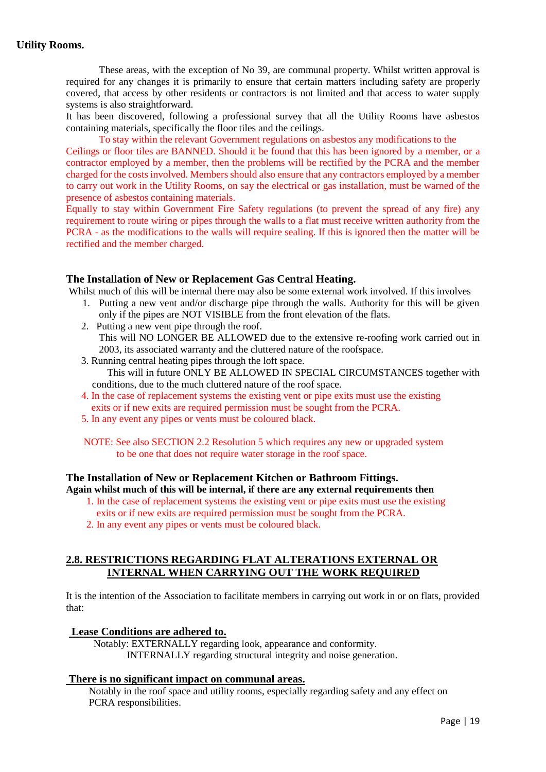### **Utility Rooms.**

These areas, with the exception of No 39, are communal property. Whilst written approval is required for any changes it is primarily to ensure that certain matters including safety are properly covered, that access by other residents or contractors is not limited and that access to water supply systems is also straightforward.

It has been discovered, following a professional survey that all the Utility Rooms have asbestos containing materials, specifically the floor tiles and the ceilings.

To stay within the relevant Government regulations on asbestos any modifications to the Ceilings or floor tiles are BANNED. Should it be found that this has been ignored by a member, or a contractor employed by a member, then the problems will be rectified by the PCRA and the member charged for the costs involved. Members should also ensure that any contractors employed by a member to carry out work in the Utility Rooms, on say the electrical or gas installation, must be warned of the presence of asbestos containing materials.

 Equally to stay within Government Fire Safety regulations (to prevent the spread of any fire) any requirement to route wiring or pipes through the walls to a flat must receive written authority from the PCRA - as the modifications to the walls will require sealing. If this is ignored then the matter will be rectified and the member charged.

#### **The Installation of New or Replacement Gas Central Heating.**

Whilst much of this will be internal there may also be some external work involved. If this involves

- 1. Putting a new vent and/or discharge pipe through the walls. Authority for this will be given only if the pipes are NOT VISIBLE from the front elevation of the flats.
- 2. Putting a new vent pipe through the roof. This will NO LONGER BE ALLOWED due to the extensive re-roofing work carried out in 2003, its associated warranty and the cluttered nature of the roofspace.
- 3. Running central heating pipes through the loft space. This will in future ONLY BE ALLOWED IN SPECIAL CIRCUMSTANCES together with conditions, due to the much cluttered nature of the roof space.
- 4. In the case of replacement systems the existing vent or pipe exits must use the existing exits or if new exits are required permission must be sought from the PCRA.
- 5. In any event any pipes or vents must be coloured black.

 NOTE: See also SECTION 2.2 Resolution 5 which requires any new or upgraded system to be one that does not require water storage in the roof space.

### **The Installation of New or Replacement Kitchen or Bathroom Fittings. Again whilst much of this will be internal, if there are any external requirements then**

- 1. In the case of replacement systems the existing vent or pipe exits must use the existing exits or if new exits are required permission must be sought from the PCRA.
- 2. In any event any pipes or vents must be coloured black.

### **2.8. RESTRICTIONS REGARDING FLAT ALTERATIONS EXTERNAL OR INTERNAL WHEN CARRYING OUT THE WORK REQUIRED**

It is the intention of the Association to facilitate members in carrying out work in or on flats, provided that:

#### **Lease Conditions are adhered to.**

Notably: EXTERNALLY regarding look, appearance and conformity. INTERNALLY regarding structural integrity and noise generation.

#### **There is no significant impact on communal areas.**

 Notably in the roof space and utility rooms, especially regarding safety and any effect on PCRA responsibilities.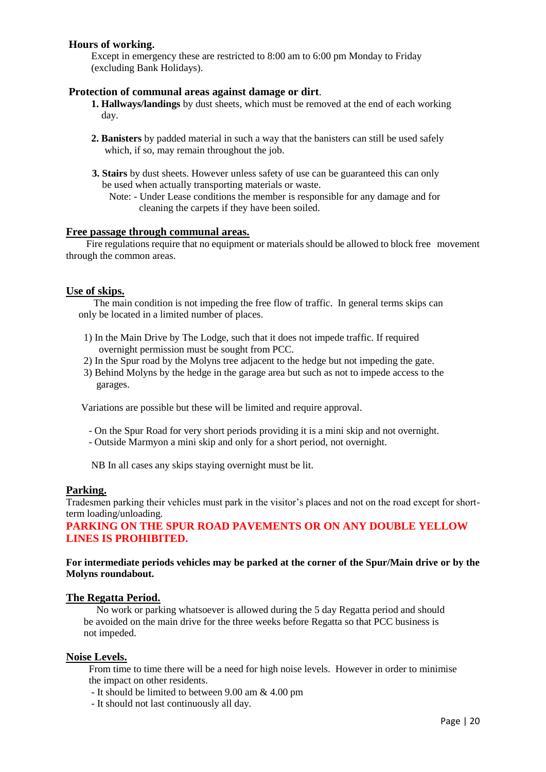### **Hours of working.**

 Except in emergency these are restricted to 8:00 am to 6:00 pm Monday to Friday (excluding Bank Holidays).

#### **Protection of communal areas against damage or dirt**.

- **1. Hallways/landings** by dust sheets, which must be removed at the end of each working day.
- **2. Banisters** by padded material in such a way that the banisters can still be used safely which, if so, may remain throughout the job.
- **3. Stairs** by dust sheets. However unless safety of use can be guaranteed this can only be used when actually transporting materials or waste.

 Note: - Under Lease conditions the member is responsible for any damage and for cleaning the carpets if they have been soiled.

#### **Free passage through communal areas.**

 Fire regulations require that no equipment or materials should be allowed to block free movement through the common areas.

#### **Use of skips.**

 The main condition is not impeding the free flow of traffic. In general terms skips can only be located in a limited number of places.

- 1) In the Main Drive by The Lodge, such that it does not impede traffic. If required overnight permission must be sought from PCC.
- 2) In the Spur road by the Molyns tree adjacent to the hedge but not impeding the gate.
- 3) Behind Molyns by the hedge in the garage area but such as not to impede access to the garages.

Variations are possible but these will be limited and require approval.

- On the Spur Road for very short periods providing it is a mini skip and not overnight.
- Outside Marmyon a mini skip and only for a short period, not overnight.

NB In all cases any skips staying overnight must be lit.

#### **Parking.**

Tradesmen parking their vehicles must park in the visitor's places and not on the road except for shortterm loading/unloading.

### **PARKING ON THE SPUR ROAD PAVEMENTS OR ON ANY DOUBLE YELLOW LINES IS PROHIBITED.**

#### **For intermediate periods vehicles may be parked at the corner of the Spur/Main drive or by the Molyns roundabout.**

#### **The Regatta Period.**

 No work or parking whatsoever is allowed during the 5 day Regatta period and should be avoided on the main drive for the three weeks before Regatta so that PCC business is not impeded.

#### **Noise Levels.**

From time to time there will be a need for high noise levels. However in order to minimise the impact on other residents.

- It should be limited to between 9.00 am & 4.00 pm
- It should not last continuously all day.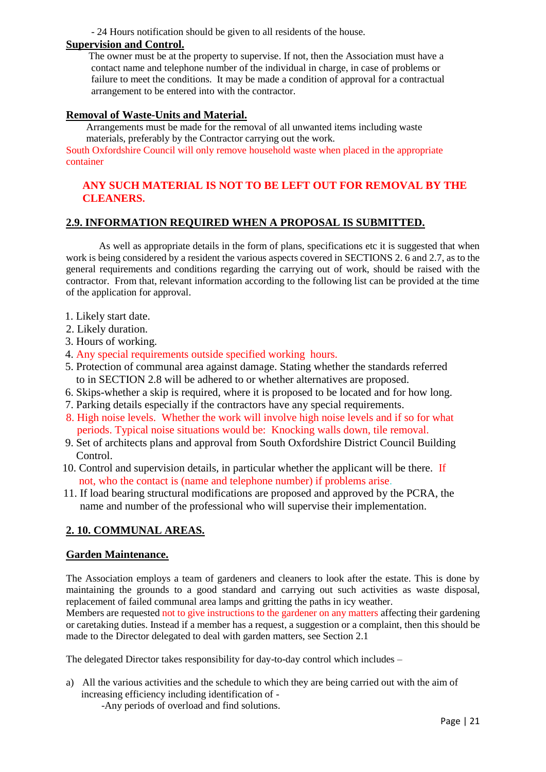- 24 Hours notification should be given to all residents of the house.

### **Supervision and Control.**

The owner must be at the property to supervise. If not, then the Association must have a contact name and telephone number of the individual in charge, in case of problems or failure to meet the conditions. It may be made a condition of approval for a contractual arrangement to be entered into with the contractor.

### **Removal of Waste-Units and Material.**

Arrangements must be made for the removal of all unwanted items including waste materials, preferably by the Contractor carrying out the work.

South Oxfordshire Council will only remove household waste when placed in the appropriate container

### **ANY SUCH MATERIAL IS NOT TO BE LEFT OUT FOR REMOVAL BY THE CLEANERS.**

### **2.9. INFORMATION REQUIRED WHEN A PROPOSAL IS SUBMITTED.**

As well as appropriate details in the form of plans, specifications etc it is suggested that when work is being considered by a resident the various aspects covered in SECTIONS 2. 6 and 2.7, as to the general requirements and conditions regarding the carrying out of work, should be raised with the contractor. From that, relevant information according to the following list can be provided at the time of the application for approval.

- 1. Likely start date.
- 2. Likely duration.
- 3. Hours of working.
- 4. Any special requirements outside specified working hours.
- 5. Protection of communal area against damage. Stating whether the standards referred to in SECTION 2.8 will be adhered to or whether alternatives are proposed.
- 6. Skips-whether a skip is required, where it is proposed to be located and for how long.
- 7. Parking details especially if the contractors have any special requirements.
- 8. High noise levels. Whether the work will involve high noise levels and if so for what periods. Typical noise situations would be: Knocking walls down, tile removal.
- 9. Set of architects plans and approval from South Oxfordshire District Council Building Control.
- 10. Control and supervision details, in particular whether the applicant will be there. If not, who the contact is (name and telephone number) if problems arise.
- 11. If load bearing structural modifications are proposed and approved by the PCRA, the name and number of the professional who will supervise their implementation.

### **2. 10. COMMUNAL AREAS.**

#### **Garden Maintenance.**

The Association employs a team of gardeners and cleaners to look after the estate. This is done by maintaining the grounds to a good standard and carrying out such activities as waste disposal, replacement of failed communal area lamps and gritting the paths in icy weather.

Members are requested not to give instructions to the gardener on any matters affecting their gardening or caretaking duties. Instead if a member has a request, a suggestion or a complaint, then this should be made to the Director delegated to deal with garden matters, see Section 2.1

The delegated Director takes responsibility for day-to-day control which includes –

a) All the various activities and the schedule to which they are being carried out with the aim of increasing efficiency including identification of -

-Any periods of overload and find solutions.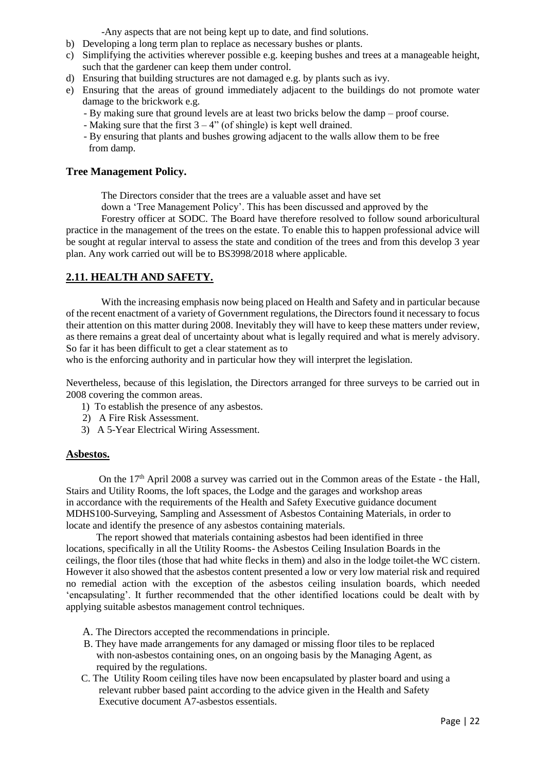-Any aspects that are not being kept up to date, and find solutions.

- b) Developing a long term plan to replace as necessary bushes or plants.
- c) Simplifying the activities wherever possible e.g. keeping bushes and trees at a manageable height, such that the gardener can keep them under control.
- d) Ensuring that building structures are not damaged e.g. by plants such as ivy.
- e) Ensuring that the areas of ground immediately adjacent to the buildings do not promote water damage to the brickwork e.g.
	- By making sure that ground levels are at least two bricks below the damp proof course.
	- Making sure that the first  $3 4$ " (of shingle) is kept well drained.
	- By ensuring that plants and bushes growing adjacent to the walls allow them to be free from damp.

#### **Tree Management Policy.**

The Directors consider that the trees are a valuable asset and have set

down a 'Tree Management Policy'. This has been discussed and approved by the

 Forestry officer at SODC. The Board have therefore resolved to follow sound arboricultural practice in the management of the trees on the estate. To enable this to happen professional advice will be sought at regular interval to assess the state and condition of the trees and from this develop 3 year plan. Any work carried out will be to BS3998/2018 where applicable.

### **2.11. HEALTH AND SAFETY.**

 With the increasing emphasis now being placed on Health and Safety and in particular because of the recent enactment of a variety of Government regulations, the Directors found it necessary to focus their attention on this matter during 2008. Inevitably they will have to keep these matters under review, as there remains a great deal of uncertainty about what is legally required and what is merely advisory. So far it has been difficult to get a clear statement as to

who is the enforcing authority and in particular how they will interpret the legislation.

Nevertheless, because of this legislation, the Directors arranged for three surveys to be carried out in 2008 covering the common areas.

- 1) To establish the presence of any asbestos.
- 2) A Fire Risk Assessment.
- 3) A 5-Year Electrical Wiring Assessment.

#### **Asbestos.**

On the  $17<sup>th</sup>$  April 2008 a survey was carried out in the Common areas of the Estate - the Hall, Stairs and Utility Rooms, the loft spaces, the Lodge and the garages and workshop areas in accordance with the requirements of the Health and Safety Executive guidance document MDHS100-Surveying, Sampling and Assessment of Asbestos Containing Materials, in order to locate and identify the presence of any asbestos containing materials.

 The report showed that materials containing asbestos had been identified in three locations, specifically in all the Utility Rooms- the Asbestos Ceiling Insulation Boards in the ceilings, the floor tiles (those that had white flecks in them) and also in the lodge toilet-the WC cistern. However it also showed that the asbestos content presented a low or very low material risk and required no remedial action with the exception of the asbestos ceiling insulation boards, which needed 'encapsulating'. It further recommended that the other identified locations could be dealt with by applying suitable asbestos management control techniques.

- A. The Directors accepted the recommendations in principle.
- B. They have made arrangements for any damaged or missing floor tiles to be replaced with non-asbestos containing ones, on an ongoing basis by the Managing Agent, as required by the regulations.
- C. The Utility Room ceiling tiles have now been encapsulated by plaster board and using a relevant rubber based paint according to the advice given in the Health and Safety Executive document A7-asbestos essentials.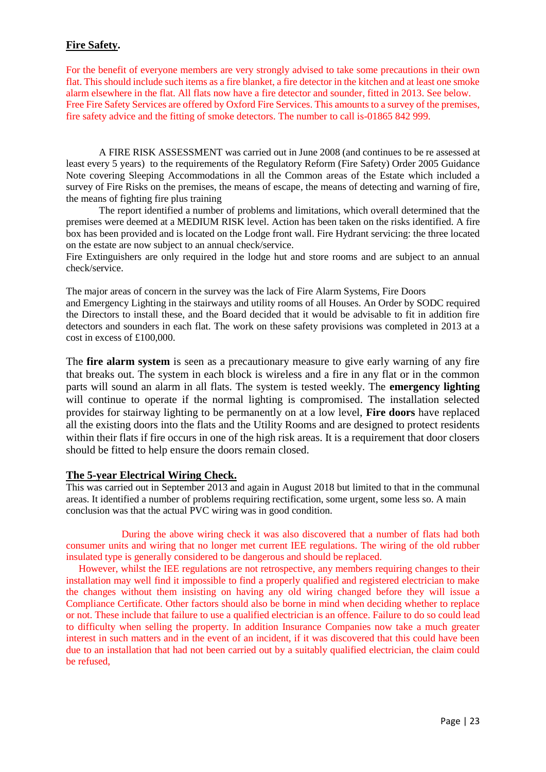### **Fire Safety.**

For the benefit of everyone members are very strongly advised to take some precautions in their own flat. This should include such items as a fire blanket, a fire detector in the kitchen and at least one smoke alarm elsewhere in the flat. All flats now have a fire detector and sounder, fitted in 2013. See below. Free Fire Safety Services are offered by Oxford Fire Services. This amounts to a survey of the premises, fire safety advice and the fitting of smoke detectors. The number to call is-01865 842 999.

A FIRE RISK ASSESSMENT was carried out in June 2008 (and continues to be re assessed at least every 5 years) to the requirements of the Regulatory Reform (Fire Safety) Order 2005 Guidance Note covering Sleeping Accommodations in all the Common areas of the Estate which included a survey of Fire Risks on the premises, the means of escape, the means of detecting and warning of fire, the means of fighting fire plus training

The report identified a number of problems and limitations, which overall determined that the premises were deemed at a MEDIUM RISK level. Action has been taken on the risks identified. A fire box has been provided and is located on the Lodge front wall. Fire Hydrant servicing: the three located on the estate are now subject to an annual check/service.

Fire Extinguishers are only required in the lodge hut and store rooms and are subject to an annual check/service.

The major areas of concern in the survey was the lack of Fire Alarm Systems, Fire Doors and Emergency Lighting in the stairways and utility rooms of all Houses. An Order by SODC required the Directors to install these, and the Board decided that it would be advisable to fit in addition fire detectors and sounders in each flat. The work on these safety provisions was completed in 2013 at a cost in excess of £100,000.

The **fire alarm system** is seen as a precautionary measure to give early warning of any fire that breaks out. The system in each block is wireless and a fire in any flat or in the common parts will sound an alarm in all flats. The system is tested weekly. The **emergency lighting** will continue to operate if the normal lighting is compromised. The installation selected provides for stairway lighting to be permanently on at a low level, **Fire doors** have replaced all the existing doors into the flats and the Utility Rooms and are designed to protect residents within their flats if fire occurs in one of the high risk areas. It is a requirement that door closers should be fitted to help ensure the doors remain closed.

### **The 5-year Electrical Wiring Check.**

This was carried out in September 2013 and again in August 2018 but limited to that in the communal areas. It identified a number of problems requiring rectification, some urgent, some less so. A main conclusion was that the actual PVC wiring was in good condition.

 During the above wiring check it was also discovered that a number of flats had both consumer units and wiring that no longer met current IEE regulations. The wiring of the old rubber insulated type is generally considered to be dangerous and should be replaced.

 However, whilst the IEE regulations are not retrospective, any members requiring changes to their installation may well find it impossible to find a properly qualified and registered electrician to make the changes without them insisting on having any old wiring changed before they will issue a Compliance Certificate. Other factors should also be borne in mind when deciding whether to replace or not. These include that failure to use a qualified electrician is an offence. Failure to do so could lead to difficulty when selling the property. In addition Insurance Companies now take a much greater interest in such matters and in the event of an incident, if it was discovered that this could have been due to an installation that had not been carried out by a suitably qualified electrician, the claim could be refused,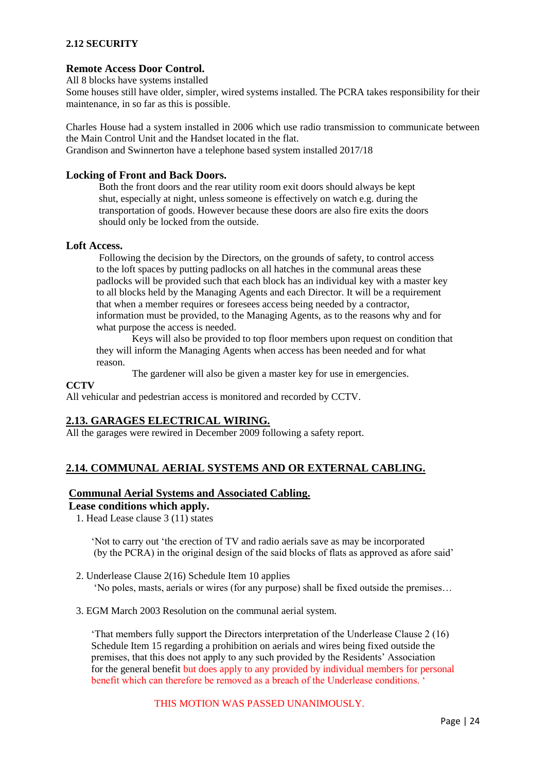### **2.12 SECURITY**

#### **Remote Access Door Control.**

All 8 blocks have systems installed

Some houses still have older, simpler, wired systems installed. The PCRA takes responsibility for their maintenance, in so far as this is possible.

Charles House had a system installed in 2006 which use radio transmission to communicate between the Main Control Unit and the Handset located in the flat. Grandison and Swinnerton have a telephone based system installed 2017/18

#### **Locking of Front and Back Doors.**

 Both the front doors and the rear utility room exit doors should always be kept shut, especially at night, unless someone is effectively on watch e.g. during the transportation of goods. However because these doors are also fire exits the doors should only be locked from the outside.

#### **Loft Access.**

Following the decision by the Directors, on the grounds of safety, to control access to the loft spaces by putting padlocks on all hatches in the communal areas these padlocks will be provided such that each block has an individual key with a master key to all blocks held by the Managing Agents and each Director. It will be a requirement that when a member requires or foresees access being needed by a contractor, information must be provided, to the Managing Agents, as to the reasons why and for what purpose the access is needed.

Keys will also be provided to top floor members upon request on condition that they will inform the Managing Agents when access has been needed and for what reason.

The gardener will also be given a master key for use in emergencies.

#### **CCTV**

All vehicular and pedestrian access is monitored and recorded by CCTV.

#### **2.13. GARAGES ELECTRICAL WIRING.**

All the garages were rewired in December 2009 following a safety report.

### **2.14. COMMUNAL AERIAL SYSTEMS AND OR EXTERNAL CABLING.**

#### **Communal Aerial Systems and Associated Cabling.**

### **Lease conditions which apply.**

1. Head Lease clause 3 (11) states

 'Not to carry out 'the erection of TV and radio aerials save as may be incorporated (by the PCRA) in the original design of the said blocks of flats as approved as afore said'

- 2. Underlease Clause 2(16) Schedule Item 10 applies 'No poles, masts, aerials or wires (for any purpose) shall be fixed outside the premises…
- 3. EGM March 2003 Resolution on the communal aerial system.

 'That members fully support the Directors interpretation of the Underlease Clause 2 (16) Schedule Item 15 regarding a prohibition on aerials and wires being fixed outside the premises, that this does not apply to any such provided by the Residents' Association for the general benefit but does apply to any provided by individual members for personal benefit which can therefore be removed as a breach of the Underlease conditions.

### THIS MOTION WAS PASSED UNANIMOUSLY.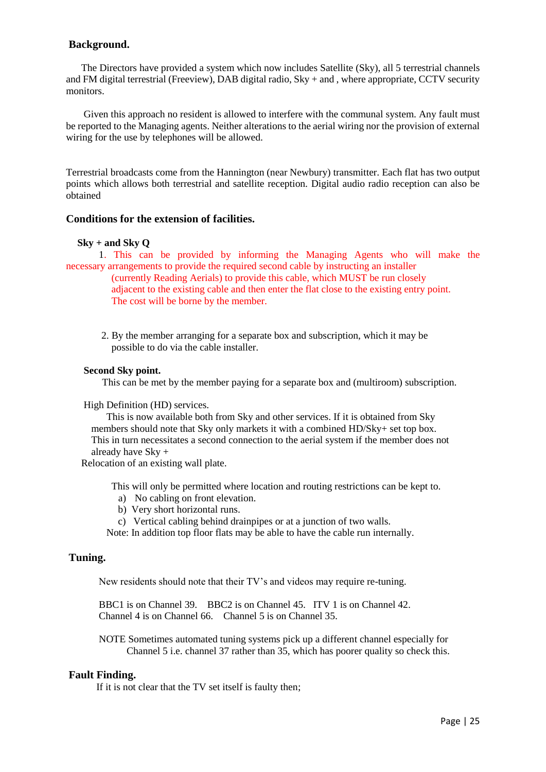#### **Background.**

 The Directors have provided a system which now includes Satellite (Sky), all 5 terrestrial channels and FM digital terrestrial (Freeview), DAB digital radio, Sky + and , where appropriate, CCTV security monitors.

 Given this approach no resident is allowed to interfere with the communal system. Any fault must be reported to the Managing agents. Neither alterations to the aerial wiring nor the provision of external wiring for the use by telephones will be allowed.

Terrestrial broadcasts come from the Hannington (near Newbury) transmitter. Each flat has two output points which allows both terrestrial and satellite reception. Digital audio radio reception can also be obtained

#### **Conditions for the extension of facilities.**

#### **Sky + and Sky Q**

 1. This can be provided by informing the Managing Agents who will make the necessary arrangements to provide the required second cable by instructing an installer

 (currently Reading Aerials) to provide this cable, which MUST be run closely adjacent to the existing cable and then enter the flat close to the existing entry point. The cost will be borne by the member.

 2. By the member arranging for a separate box and subscription, which it may be possible to do via the cable installer.

#### **Second Sky point.**

This can be met by the member paying for a separate box and (multiroom) subscription.

#### High Definition (HD) services.

 This is now available both from Sky and other services. If it is obtained from Sky members should note that Sky only markets it with a combined HD/Sky+ set top box. This in turn necessitates a second connection to the aerial system if the member does not already have Sky +

Relocation of an existing wall plate.

This will only be permitted where location and routing restrictions can be kept to.

- a) No cabling on front elevation.
- b) Very short horizontal runs.
- c) Vertical cabling behind drainpipes or at a junction of two walls.

Note: In addition top floor flats may be able to have the cable run internally.

#### **Tuning.**

New residents should note that their TV's and videos may require re-tuning.

 BBC1 is on Channel 39. BBC2 is on Channel 45. ITV 1 is on Channel 42. Channel 4 is on Channel 66. Channel 5 is on Channel 35.

 NOTE Sometimes automated tuning systems pick up a different channel especially for Channel 5 i.e. channel 37 rather than 35, which has poorer quality so check this.

#### **Fault Finding.**

If it is not clear that the TV set itself is faulty then;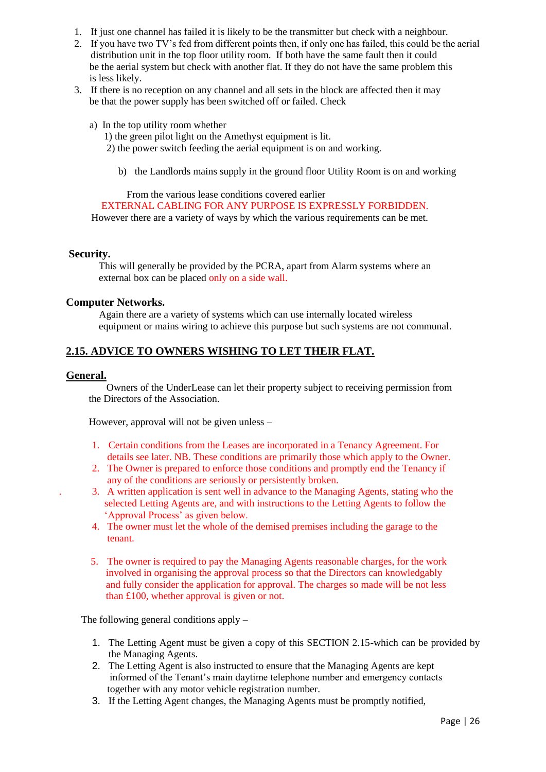- 1. If just one channel has failed it is likely to be the transmitter but check with a neighbour.
- 2. If you have two TV's fed from different points then, if only one has failed, this could be the aerial distribution unit in the top floor utility room. If both have the same fault then it could be the aerial system but check with another flat. If they do not have the same problem this is less likely.
- 3. If there is no reception on any channel and all sets in the block are affected then it may be that the power supply has been switched off or failed. Check
	- a) In the top utility room whether

1) the green pilot light on the Amethyst equipment is lit.

2) the power switch feeding the aerial equipment is on and working.

b) the Landlords mains supply in the ground floor Utility Room is on and working

#### From the various lease conditions covered earlier

EXTERNAL CABLING FOR ANY PURPOSE IS EXPRESSLY FORBIDDEN.

However there are a variety of ways by which the various requirements can be met.

#### **Security.**

 This will generally be provided by the PCRA, apart from Alarm systems where an external box can be placed only on a side wall.

#### **Computer Networks.**

Again there are a variety of systems which can use internally located wireless equipment or mains wiring to achieve this purpose but such systems are not communal.

### **2.15. ADVICE TO OWNERS WISHING TO LET THEIR FLAT.**

#### **General.**

 Owners of the UnderLease can let their property subject to receiving permission from the Directors of the Association.

However, approval will not be given unless –

- 1. Certain conditions from the Leases are incorporated in a Tenancy Agreement. For details see later. NB. These conditions are primarily those which apply to the Owner.
- 2. The Owner is prepared to enforce those conditions and promptly end the Tenancy if any of the conditions are seriously or persistently broken.
- . 3. A written application is sent well in advance to the Managing Agents, stating who the selected Letting Agents are, and with instructions to the Letting Agents to follow the 'Approval Process' as given below.
- 4. The owner must let the whole of the demised premises including the garage to the tenant.
- 5. The owner is required to pay the Managing Agents reasonable charges, for the work involved in organising the approval process so that the Directors can knowledgably and fully consider the application for approval. The charges so made will be not less than £100, whether approval is given or not.

The following general conditions apply –

- 1. The Letting Agent must be given a copy of this SECTION 2.15-which can be provided by the Managing Agents.
- 2. The Letting Agent is also instructed to ensure that the Managing Agents are kept informed of the Tenant's main daytime telephone number and emergency contacts together with any motor vehicle registration number.
- 3. If the Letting Agent changes, the Managing Agents must be promptly notified,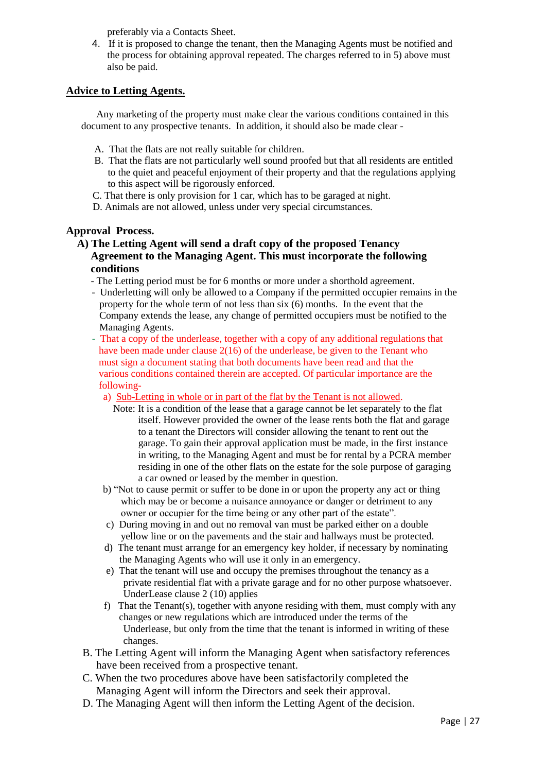preferably via a Contacts Sheet.

4. If it is proposed to change the tenant, then the Managing Agents must be notified and the process for obtaining approval repeated. The charges referred to in 5) above must also be paid.

### **Advice to Letting Agents.**

 Any marketing of the property must make clear the various conditions contained in this document to any prospective tenants. In addition, it should also be made clear -

- A. That the flats are not really suitable for children.
- B. That the flats are not particularly well sound proofed but that all residents are entitled to the quiet and peaceful enjoyment of their property and that the regulations applying to this aspect will be rigorously enforced.
- C. That there is only provision for 1 car, which has to be garaged at night.
- D. Animals are not allowed, unless under very special circumstances.

### **Approval Process.**

- **A) The Letting Agent will send a draft copy of the proposed Tenancy Agreement to the Managing Agent. This must incorporate the following conditions**
	- The Letting period must be for 6 months or more under a shorthold agreement.
	- Underletting will only be allowed to a Company if the permitted occupier remains in the property for the whole term of not less than six (6) months. In the event that the Company extends the lease, any change of permitted occupiers must be notified to the Managing Agents.
	- That a copy of the underlease, together with a copy of any additional regulations that have been made under clause 2(16) of the underlease, be given to the Tenant who must sign a document stating that both documents have been read and that the various conditions contained therein are accepted. Of particular importance are the following
		- a) Sub-Letting in whole or in part of the flat by the Tenant is not allowed.
			- Note: It is a condition of the lease that a garage cannot be let separately to the flat itself. However provided the owner of the lease rents both the flat and garage to a tenant the Directors will consider allowing the tenant to rent out the garage. To gain their approval application must be made, in the first instance in writing, to the Managing Agent and must be for rental by a PCRA member residing in one of the other flats on the estate for the sole purpose of garaging a car owned or leased by the member in question.
		- b) "Not to cause permit or suffer to be done in or upon the property any act or thing which may be or become a nuisance annoyance or danger or detriment to any owner or occupier for the time being or any other part of the estate".
		- c) During moving in and out no removal van must be parked either on a double yellow line or on the pavements and the stair and hallways must be protected.
		- d) The tenant must arrange for an emergency key holder, if necessary by nominating the Managing Agents who will use it only in an emergency.
		- e) That the tenant will use and occupy the premises throughout the tenancy as a private residential flat with a private garage and for no other purpose whatsoever. UnderLease clause 2 (10) applies
		- f) That the Tenant(s), together with anyone residing with them, must comply with any changes or new regulations which are introduced under the terms of the Underlease, but only from the time that the tenant is informed in writing of these changes.
	- B. The Letting Agent will inform the Managing Agent when satisfactory references have been received from a prospective tenant.
	- C. When the two procedures above have been satisfactorily completed the Managing Agent will inform the Directors and seek their approval.
	- D. The Managing Agent will then inform the Letting Agent of the decision.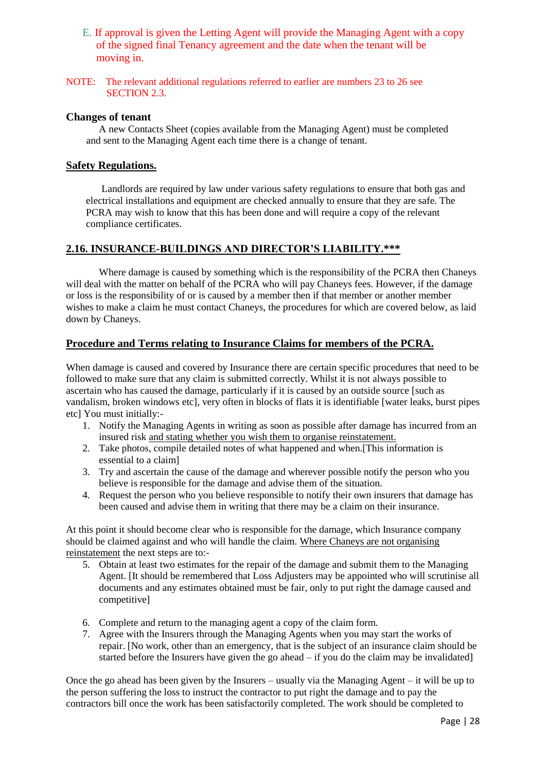- E. If approval is given the Letting Agent will provide the Managing Agent with a copy of the signed final Tenancy agreement and the date when the tenant will be moving in.
- NOTE: The relevant additional regulations referred to earlier are numbers 23 to 26 see SECTION 2.3.

#### **Changes of tenant**

 A new Contacts Sheet (copies available from the Managing Agent) must be completed and sent to the Managing Agent each time there is a change of tenant.

### **Safety Regulations.**

Landlords are required by law under various safety regulations to ensure that both gas and electrical installations and equipment are checked annually to ensure that they are safe. The PCRA may wish to know that this has been done and will require a copy of the relevant compliance certificates.

### **2.16. INSURANCE-BUILDINGS AND DIRECTOR'S LIABILITY.\*\*\***

Where damage is caused by something which is the responsibility of the PCRA then Chaneys will deal with the matter on behalf of the PCRA who will pay Chaneys fees. However, if the damage or loss is the responsibility of or is caused by a member then if that member or another member wishes to make a claim he must contact Chaneys, the procedures for which are covered below, as laid down by Chaneys.

#### **Procedure and Terms relating to Insurance Claims for members of the PCRA.**

When damage is caused and covered by Insurance there are certain specific procedures that need to be followed to make sure that any claim is submitted correctly. Whilst it is not always possible to ascertain who has caused the damage, particularly if it is caused by an outside source [such as vandalism, broken windows etc], very often in blocks of flats it is identifiable [water leaks, burst pipes etc] You must initially:-

- 1. Notify the Managing Agents in writing as soon as possible after damage has incurred from an insured risk and stating whether you wish them to organise reinstatement.
- 2. Take photos, compile detailed notes of what happened and when.[This information is essential to a claim]
- 3. Try and ascertain the cause of the damage and wherever possible notify the person who you believe is responsible for the damage and advise them of the situation.
- 4. Request the person who you believe responsible to notify their own insurers that damage has been caused and advise them in writing that there may be a claim on their insurance.

At this point it should become clear who is responsible for the damage, which Insurance company should be claimed against and who will handle the claim. Where Chaneys are not organising reinstatement the next steps are to:-

- 5. Obtain at least two estimates for the repair of the damage and submit them to the Managing Agent. [It should be remembered that Loss Adjusters may be appointed who will scrutinise all documents and any estimates obtained must be fair, only to put right the damage caused and competitive]
- 6. Complete and return to the managing agent a copy of the claim form.
- 7. Agree with the Insurers through the Managing Agents when you may start the works of repair. [No work, other than an emergency, that is the subject of an insurance claim should be started before the Insurers have given the go ahead  $-$  if you do the claim may be invalidated

Once the go ahead has been given by the Insurers – usually via the Managing Agent – it will be up to the person suffering the loss to instruct the contractor to put right the damage and to pay the contractors bill once the work has been satisfactorily completed. The work should be completed to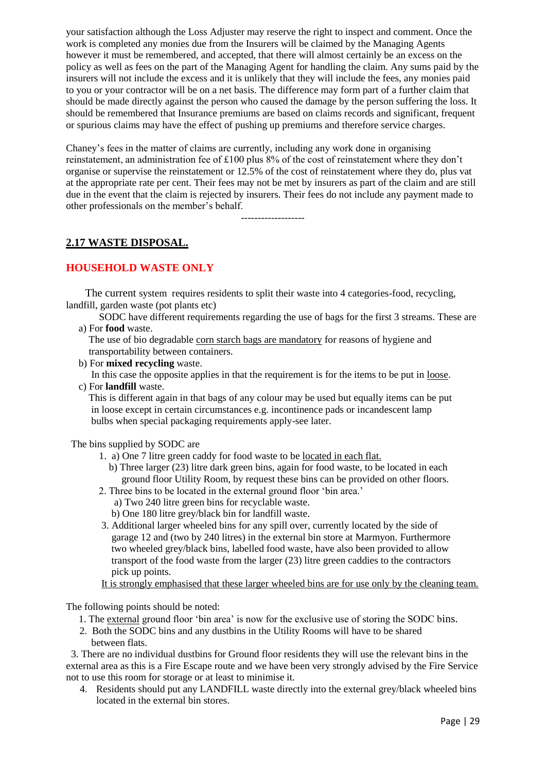your satisfaction although the Loss Adjuster may reserve the right to inspect and comment. Once the work is completed any monies due from the Insurers will be claimed by the Managing Agents however it must be remembered, and accepted, that there will almost certainly be an excess on the policy as well as fees on the part of the Managing Agent for handling the claim. Any sums paid by the insurers will not include the excess and it is unlikely that they will include the fees, any monies paid to you or your contractor will be on a net basis. The difference may form part of a further claim that should be made directly against the person who caused the damage by the person suffering the loss. It should be remembered that Insurance premiums are based on claims records and significant, frequent or spurious claims may have the effect of pushing up premiums and therefore service charges.

Chaney's fees in the matter of claims are currently, including any work done in organising reinstatement, an administration fee of £100 plus 8% of the cost of reinstatement where they don't organise or supervise the reinstatement or 12.5% of the cost of reinstatement where they do, plus vat at the appropriate rate per cent. Their fees may not be met by insurers as part of the claim and are still due in the event that the claim is rejected by insurers. Their fees do not include any payment made to other professionals on the member's behalf.

-------------------

## **2.17 WASTE DISPOSAL.**

### **HOUSEHOLD WASTE ONLY**

 The current system requires residents to split their waste into 4 categories-food, recycling, landfill, garden waste (pot plants etc)

SODC have different requirements regarding the use of bags for the first 3 streams. These are a) For **food** waste.

 The use of bio degradable corn starch bags are mandatory for reasons of hygiene and transportability between containers.

b) For **mixed recycling** waste.

 In this case the opposite applies in that the requirement is for the items to be put in loose. c) For **landfill** waste.

 This is different again in that bags of any colour may be used but equally items can be put in loose except in certain circumstances e.g. incontinence pads or incandescent lamp bulbs when special packaging requirements apply-see later.

The bins supplied by SODC are

- 1. a) One 7 litre green caddy for food waste to be located in each flat.
	- b) Three larger (23) litre dark green bins, again for food waste, to be located in each ground floor Utility Room, by request these bins can be provided on other floors.
- 2. Three bins to be located in the external ground floor 'bin area.' a) Two 240 litre green bins for recyclable waste.
	- b) One 180 litre grey/black bin for landfill waste.
- 3. Additional larger wheeled bins for any spill over, currently located by the side of garage 12 and (two by 240 litres) in the external bin store at Marmyon. Furthermore two wheeled grey/black bins, labelled food waste, have also been provided to allow transport of the food waste from the larger (23) litre green caddies to the contractors pick up points.

It is strongly emphasised that these larger wheeled bins are for use only by the cleaning team.

The following points should be noted:

- 1. The external ground floor 'bin area' is now for the exclusive use of storing the SODC bins.
- 2. Both the SODC bins and any dustbins in the Utility Rooms will have to be shared between flats.

 3. There are no individual dustbins for Ground floor residents they will use the relevant bins in the external area as this is a Fire Escape route and we have been very strongly advised by the Fire Service not to use this room for storage or at least to minimise it.

4. Residents should put any LANDFILL waste directly into the external grey/black wheeled bins located in the external bin stores.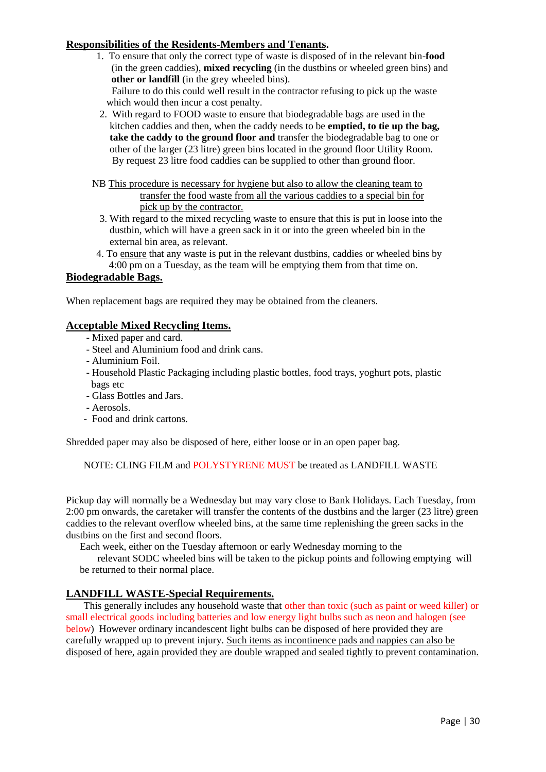### **Responsibilities of the Residents-Members and Tenants.**

 1. To ensure that only the correct type of waste is disposed of in the relevant bin-**food** (in the green caddies), **mixed recycling** (in the dustbins or wheeled green bins) and **other or landfill** (in the grey wheeled bins).

 Failure to do this could well result in the contractor refusing to pick up the waste which would then incur a cost penalty.

- 2. With regard to FOOD waste to ensure that biodegradable bags are used in the kitchen caddies and then, when the caddy needs to be **emptied, to tie up the bag, take the caddy to the ground floor and** transfer the biodegradable bag to one or other of the larger (23 litre) green bins located in the ground floor Utility Room. By request 23 litre food caddies can be supplied to other than ground floor.
- NB This procedure is necessary for hygiene but also to allow the cleaning team to transfer the food waste from all the various caddies to a special bin for pick up by the contractor.
	- 3. With regard to the mixed recycling waste to ensure that this is put in loose into the dustbin, which will have a green sack in it or into the green wheeled bin in the external bin area, as relevant.
- 4. To ensure that any waste is put in the relevant dustbins, caddies or wheeled bins by 4:00 pm on a Tuesday, as the team will be emptying them from that time on.

### **Biodegradable Bags.**

When replacement bags are required they may be obtained from the cleaners.

### **Acceptable Mixed Recycling Items.**

- Mixed paper and card.
- Steel and Aluminium food and drink cans.
- Aluminium Foil.
- Household Plastic Packaging including plastic bottles, food trays, yoghurt pots, plastic bags etc
- Glass Bottles and Jars.
- Aerosols.
- Food and drink cartons.

Shredded paper may also be disposed of here, either loose or in an open paper bag.

NOTE: CLING FILM and POLYSTYRENE MUST be treated as LANDFILL WASTE

Pickup day will normally be a Wednesday but may vary close to Bank Holidays. Each Tuesday, from 2:00 pm onwards, the caretaker will transfer the contents of the dustbins and the larger (23 litre) green caddies to the relevant overflow wheeled bins, at the same time replenishing the green sacks in the dustbins on the first and second floors.

Each week, either on the Tuesday afternoon or early Wednesday morning to the

 relevant SODC wheeled bins will be taken to the pickup points and following emptying will be returned to their normal place.

### **LANDFILL WASTE-Special Requirements.**

 This generally includes any household waste that other than toxic (such as paint or weed killer) or small electrical goods including batteries and low energy light bulbs such as neon and halogen (see below) However ordinary incandescent light bulbs can be disposed of here provided they are carefully wrapped up to prevent injury. Such items as incontinence pads and nappies can also be disposed of here, again provided they are double wrapped and sealed tightly to prevent contamination.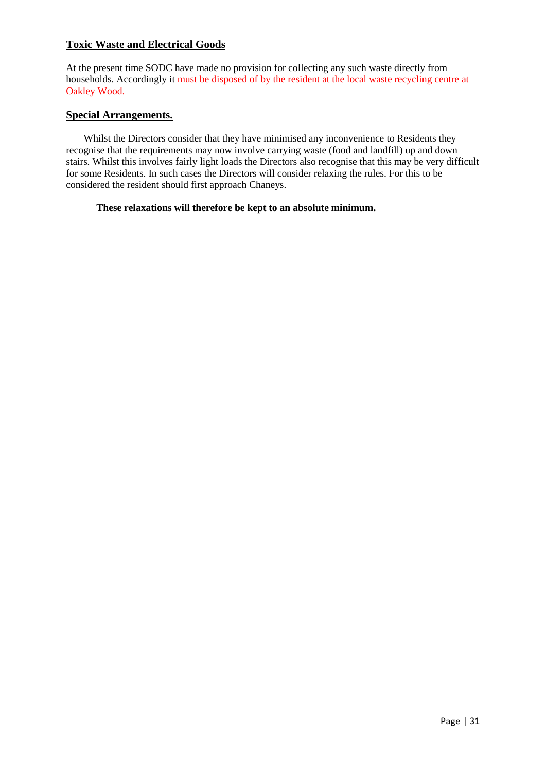### **Toxic Waste and Electrical Goods**

At the present time SODC have made no provision for collecting any such waste directly from households. Accordingly it must be disposed of by the resident at the local waste recycling centre at Oakley Wood.

#### **Special Arrangements.**

 Whilst the Directors consider that they have minimised any inconvenience to Residents they recognise that the requirements may now involve carrying waste (food and landfill) up and down stairs. Whilst this involves fairly light loads the Directors also recognise that this may be very difficult for some Residents. In such cases the Directors will consider relaxing the rules. For this to be considered the resident should first approach Chaneys.

#### **These relaxations will therefore be kept to an absolute minimum.**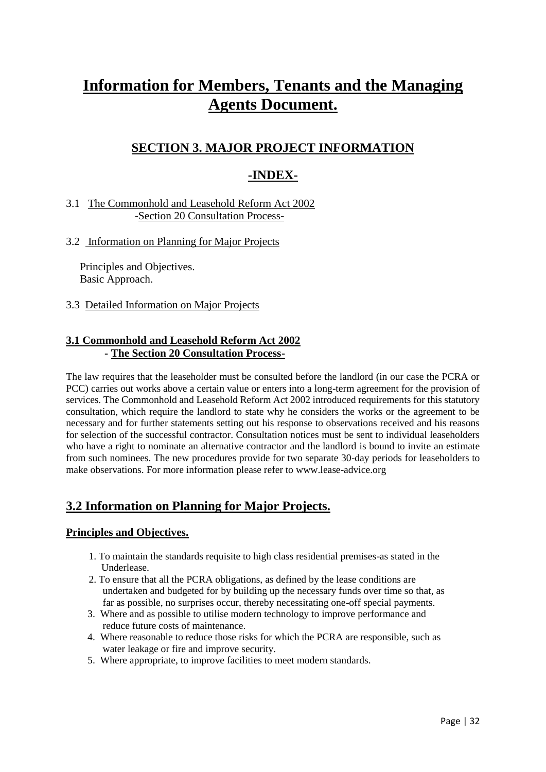# **Information for Members, Tenants and the Managing Agents Document.**

## **SECTION 3. MAJOR PROJECT INFORMATION**

## **-INDEX-**

### 3.1 The Commonhold and Leasehold Reform Act 2002 -Section 20 Consultation Process-

### 3.2 Information on Planning for Major Projects

 Principles and Objectives. Basic Approach.

3.3 Detailed Information on Major Projects

### **3.1 Commonhold and Leasehold Reform Act 2002 - The Section 20 Consultation Process-**

The law requires that the leaseholder must be consulted before the landlord (in our case the PCRA or PCC) carries out works above a certain value or enters into a long-term agreement for the provision of services. The Commonhold and Leasehold Reform Act 2002 introduced requirements for this statutory consultation, which require the landlord to state why he considers the works or the agreement to be necessary and for further statements setting out his response to observations received and his reasons for selection of the successful contractor. Consultation notices must be sent to individual leaseholders who have a right to nominate an alternative contractor and the landlord is bound to invite an estimate from such nominees. The new procedures provide for two separate 30-day periods for leaseholders to make observations. For more information please refer to www.lease-advice.org

## **3.2 Information on Planning for Major Projects.**

### **Principles and Objectives.**

- 1. To maintain the standards requisite to high class residential premises-as stated in the Underlease.
- 2. To ensure that all the PCRA obligations, as defined by the lease conditions are undertaken and budgeted for by building up the necessary funds over time so that, as far as possible, no surprises occur, thereby necessitating one-off special payments.
- 3. Where and as possible to utilise modern technology to improve performance and reduce future costs of maintenance.
- 4. Where reasonable to reduce those risks for which the PCRA are responsible, such as water leakage or fire and improve security.
- 5. Where appropriate, to improve facilities to meet modern standards.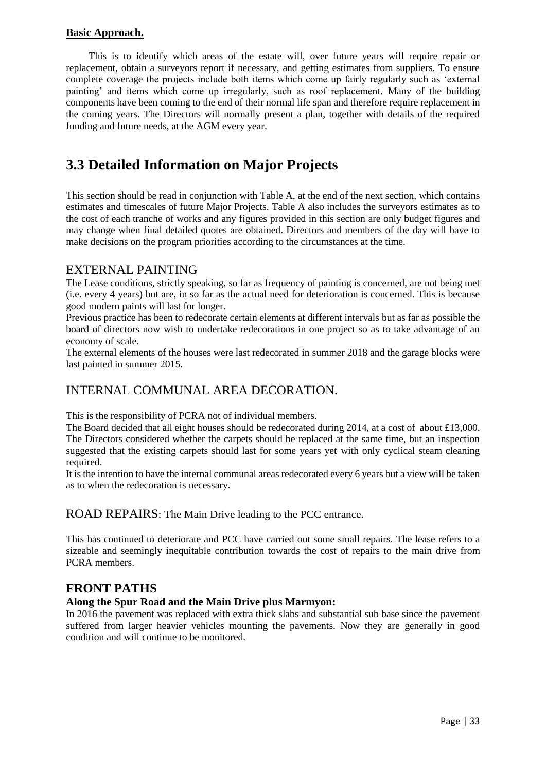### **Basic Approach.**

 This is to identify which areas of the estate will, over future years will require repair or replacement, obtain a surveyors report if necessary, and getting estimates from suppliers. To ensure complete coverage the projects include both items which come up fairly regularly such as 'external painting' and items which come up irregularly, such as roof replacement. Many of the building components have been coming to the end of their normal life span and therefore require replacement in the coming years. The Directors will normally present a plan, together with details of the required funding and future needs, at the AGM every year.

## **3.3 Detailed Information on Major Projects**

This section should be read in conjunction with Table A, at the end of the next section, which contains estimates and timescales of future Major Projects. Table A also includes the surveyors estimates as to the cost of each tranche of works and any figures provided in this section are only budget figures and may change when final detailed quotes are obtained. Directors and members of the day will have to make decisions on the program priorities according to the circumstances at the time.

### EXTERNAL PAINTING

The Lease conditions, strictly speaking, so far as frequency of painting is concerned, are not being met (i.e. every 4 years) but are, in so far as the actual need for deterioration is concerned. This is because good modern paints will last for longer.

Previous practice has been to redecorate certain elements at different intervals but as far as possible the board of directors now wish to undertake redecorations in one project so as to take advantage of an economy of scale.

The external elements of the houses were last redecorated in summer 2018 and the garage blocks were last painted in summer 2015.

## INTERNAL COMMUNAL AREA DECORATION.

This is the responsibility of PCRA not of individual members.

The Board decided that all eight houses should be redecorated during 2014, at a cost of about £13,000. The Directors considered whether the carpets should be replaced at the same time, but an inspection suggested that the existing carpets should last for some years yet with only cyclical steam cleaning required.

It is the intention to have the internal communal areas redecorated every 6 years but a view will be taken as to when the redecoration is necessary.

ROAD REPAIRS: The Main Drive leading to the PCC entrance.

This has continued to deteriorate and PCC have carried out some small repairs. The lease refers to a sizeable and seemingly inequitable contribution towards the cost of repairs to the main drive from PCRA members.

### **FRONT PATHS**

### **Along the Spur Road and the Main Drive plus Marmyon:**

In 2016 the pavement was replaced with extra thick slabs and substantial sub base since the pavement suffered from larger heavier vehicles mounting the pavements. Now they are generally in good condition and will continue to be monitored.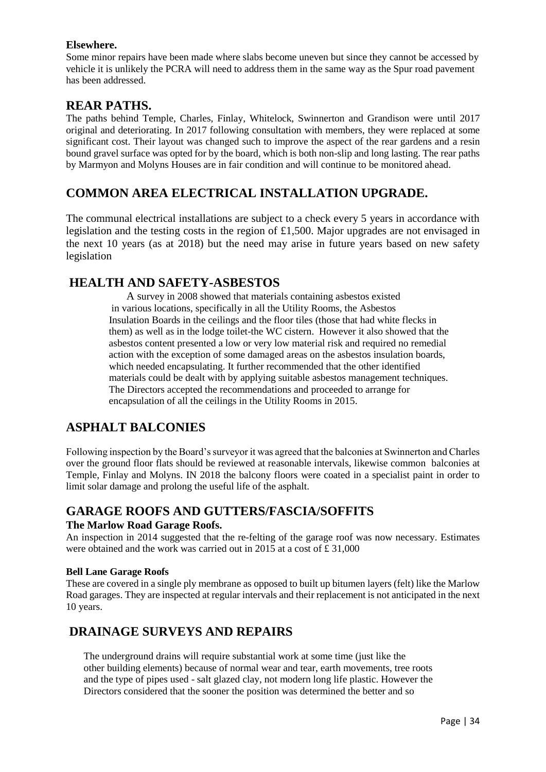### **Elsewhere.**

Some minor repairs have been made where slabs become uneven but since they cannot be accessed by vehicle it is unlikely the PCRA will need to address them in the same way as the Spur road pavement has been addressed.

## **REAR PATHS.**

The paths behind Temple, Charles, Finlay, Whitelock, Swinnerton and Grandison were until 2017 original and deteriorating. In 2017 following consultation with members, they were replaced at some significant cost. Their layout was changed such to improve the aspect of the rear gardens and a resin bound gravel surface was opted for by the board, which is both non-slip and long lasting. The rear paths by Marmyon and Molyns Houses are in fair condition and will continue to be monitored ahead.

## **COMMON AREA ELECTRICAL INSTALLATION UPGRADE.**

The communal electrical installations are subject to a check every 5 years in accordance with legislation and the testing costs in the region of £1,500. Major upgrades are not envisaged in the next 10 years (as at 2018) but the need may arise in future years based on new safety legislation

## **HEALTH AND SAFETY-ASBESTOS**

A survey in 2008 showed that materials containing asbestos existed in various locations, specifically in all the Utility Rooms, the Asbestos Insulation Boards in the ceilings and the floor tiles (those that had white flecks in them) as well as in the lodge toilet-the WC cistern. However it also showed that the asbestos content presented a low or very low material risk and required no remedial action with the exception of some damaged areas on the asbestos insulation boards, which needed encapsulating. It further recommended that the other identified materials could be dealt with by applying suitable asbestos management techniques. The Directors accepted the recommendations and proceeded to arrange for encapsulation of all the ceilings in the Utility Rooms in 2015.

## **ASPHALT BALCONIES**

Following inspection by the Board's surveyor it was agreed that the balconies at Swinnerton and Charles over the ground floor flats should be reviewed at reasonable intervals, likewise common balconies at Temple, Finlay and Molyns. IN 2018 the balcony floors were coated in a specialist paint in order to limit solar damage and prolong the useful life of the asphalt.

## **GARAGE ROOFS AND GUTTERS/FASCIA/SOFFITS**

### **The Marlow Road Garage Roofs.**

An inspection in 2014 suggested that the re-felting of the garage roof was now necessary. Estimates were obtained and the work was carried out in 2015 at a cost of £ 31,000

#### **Bell Lane Garage Roofs**

These are covered in a single ply membrane as opposed to built up bitumen layers (felt) like the Marlow Road garages. They are inspected at regular intervals and their replacement is not anticipated in the next 10 years.

## **DRAINAGE SURVEYS AND REPAIRS**

 The underground drains will require substantial work at some time (just like the other building elements) because of normal wear and tear, earth movements, tree roots and the type of pipes used - salt glazed clay, not modern long life plastic. However the Directors considered that the sooner the position was determined the better and so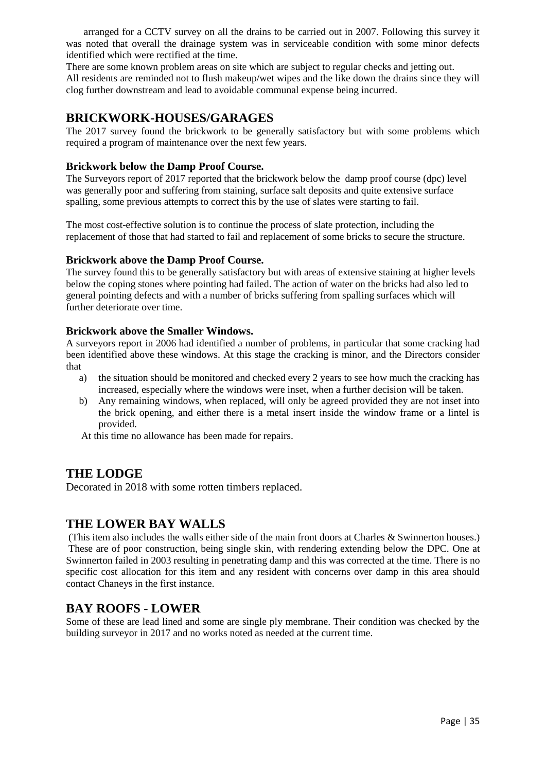arranged for a CCTV survey on all the drains to be carried out in 2007. Following this survey it was noted that overall the drainage system was in serviceable condition with some minor defects identified which were rectified at the time.

There are some known problem areas on site which are subject to regular checks and jetting out. All residents are reminded not to flush makeup/wet wipes and the like down the drains since they will clog further downstream and lead to avoidable communal expense being incurred.

## **BRICKWORK-HOUSES/GARAGES**

The 2017 survey found the brickwork to be generally satisfactory but with some problems which required a program of maintenance over the next few years.

### **Brickwork below the Damp Proof Course.**

The Surveyors report of 2017 reported that the brickwork below the damp proof course (dpc) level was generally poor and suffering from staining, surface salt deposits and quite extensive surface spalling, some previous attempts to correct this by the use of slates were starting to fail.

The most cost-effective solution is to continue the process of slate protection, including the replacement of those that had started to fail and replacement of some bricks to secure the structure.

### **Brickwork above the Damp Proof Course.**

The survey found this to be generally satisfactory but with areas of extensive staining at higher levels below the coping stones where pointing had failed. The action of water on the bricks had also led to general pointing defects and with a number of bricks suffering from spalling surfaces which will further deteriorate over time.

### **Brickwork above the Smaller Windows.**

A surveyors report in 2006 had identified a number of problems, in particular that some cracking had been identified above these windows. At this stage the cracking is minor, and the Directors consider that

- a) the situation should be monitored and checked every 2 years to see how much the cracking has increased, especially where the windows were inset, when a further decision will be taken.
- b) Any remaining windows, when replaced, will only be agreed provided they are not inset into the brick opening, and either there is a metal insert inside the window frame or a lintel is provided.

At this time no allowance has been made for repairs.

## **THE LODGE**

Decorated in 2018 with some rotten timbers replaced.

## **THE LOWER BAY WALLS**

(This item also includes the walls either side of the main front doors at Charles & Swinnerton houses.) These are of poor construction, being single skin, with rendering extending below the DPC. One at Swinnerton failed in 2003 resulting in penetrating damp and this was corrected at the time. There is no specific cost allocation for this item and any resident with concerns over damp in this area should contact Chaneys in the first instance.

## **BAY ROOFS - LOWER**

Some of these are lead lined and some are single ply membrane. Their condition was checked by the building surveyor in 2017 and no works noted as needed at the current time.